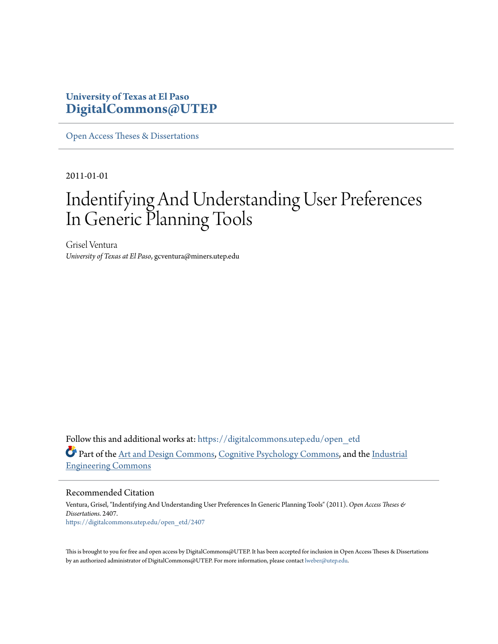### **University of Texas at El Paso [DigitalCommons@UTEP](https://digitalcommons.utep.edu/?utm_source=digitalcommons.utep.edu%2Fopen_etd%2F2407&utm_medium=PDF&utm_campaign=PDFCoverPages)**

[Open Access Theses & Dissertations](https://digitalcommons.utep.edu/open_etd?utm_source=digitalcommons.utep.edu%2Fopen_etd%2F2407&utm_medium=PDF&utm_campaign=PDFCoverPages)

2011-01-01

# Indentifying And Understanding User Preferences In Generic Planning Tools

Grisel Ventura *University of Texas at El Paso*, gcventura@miners.utep.edu

Follow this and additional works at: [https://digitalcommons.utep.edu/open\\_etd](https://digitalcommons.utep.edu/open_etd?utm_source=digitalcommons.utep.edu%2Fopen_etd%2F2407&utm_medium=PDF&utm_campaign=PDFCoverPages) Part of the [Art and Design Commons,](http://network.bepress.com/hgg/discipline/1049?utm_source=digitalcommons.utep.edu%2Fopen_etd%2F2407&utm_medium=PDF&utm_campaign=PDFCoverPages) [Cognitive Psychology Commons,](http://network.bepress.com/hgg/discipline/408?utm_source=digitalcommons.utep.edu%2Fopen_etd%2F2407&utm_medium=PDF&utm_campaign=PDFCoverPages) and the [Industrial](http://network.bepress.com/hgg/discipline/307?utm_source=digitalcommons.utep.edu%2Fopen_etd%2F2407&utm_medium=PDF&utm_campaign=PDFCoverPages) [Engineering Commons](http://network.bepress.com/hgg/discipline/307?utm_source=digitalcommons.utep.edu%2Fopen_etd%2F2407&utm_medium=PDF&utm_campaign=PDFCoverPages)

Recommended Citation

Ventura, Grisel, "Indentifying And Understanding User Preferences In Generic Planning Tools" (2011). *Open Access Theses & Dissertations*. 2407. [https://digitalcommons.utep.edu/open\\_etd/2407](https://digitalcommons.utep.edu/open_etd/2407?utm_source=digitalcommons.utep.edu%2Fopen_etd%2F2407&utm_medium=PDF&utm_campaign=PDFCoverPages)

This is brought to you for free and open access by DigitalCommons@UTEP. It has been accepted for inclusion in Open Access Theses & Dissertations by an authorized administrator of DigitalCommons@UTEP. For more information, please contact [lweber@utep.edu.](mailto:lweber@utep.edu)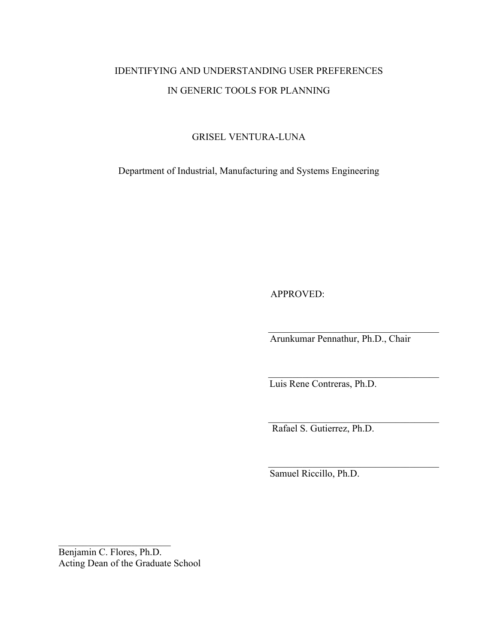## IDENTIFYING AND UNDERSTANDING USER PREFERENCES IN GENERIC TOOLS FOR PLANNING

### GRISEL VENTURA-LUNA

Department of Industrial, Manufacturing and Systems Engineering

APPROVED:

Arunkumar Pennathur, Ph.D., Chair

\_\_\_\_\_\_\_\_\_\_\_\_\_\_\_\_\_\_\_\_\_\_\_\_\_\_\_\_\_\_\_\_\_\_\_

 $\mathcal{L}_\text{max}$ 

\_\_\_\_\_\_\_\_\_\_\_\_\_\_\_\_\_\_\_\_\_\_\_\_\_\_\_\_\_\_\_\_\_\_\_

\_\_\_\_\_\_\_\_\_\_\_\_\_\_\_\_\_\_\_\_\_\_\_\_\_\_\_\_\_\_\_\_\_\_\_

Luis Rene Contreras, Ph.D.

Rafael S. Gutierrez, Ph.D.

Samuel Riccillo, Ph.D.

Benjamin C. Flores, Ph.D. Acting Dean of the Graduate School

 $\overline{\phantom{a}}$  , where  $\overline{\phantom{a}}$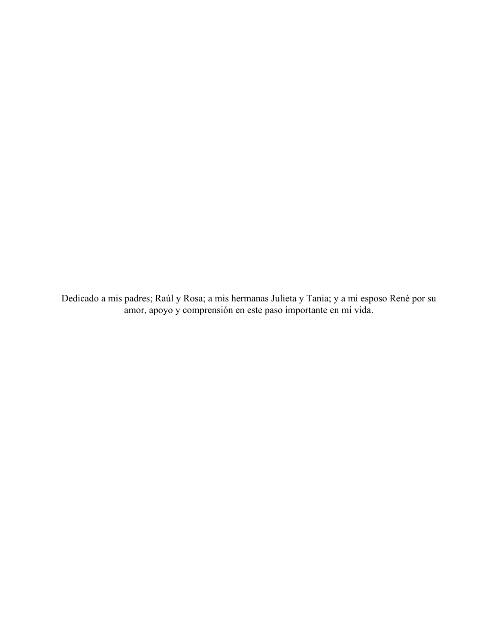Dedicado a mis padres; Raúl y Rosa; a mis hermanas Julieta y Tania; y a mi esposo René por su amor, apoyo y comprensión en este paso importante en mi vida.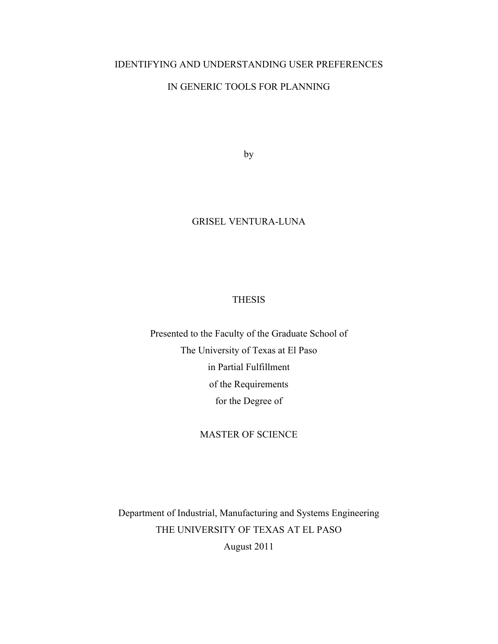### IDENTIFYING AND UNDERSTANDING USER PREFERENCES

### IN GENERIC TOOLS FOR PLANNING

by

### GRISEL VENTURA-LUNA

### THESIS

Presented to the Faculty of the Graduate School of The University of Texas at El Paso in Partial Fulfillment of the Requirements for the Degree of

### MASTER OF SCIENCE

Department of Industrial, Manufacturing and Systems Engineering THE UNIVERSITY OF TEXAS AT EL PASO August 2011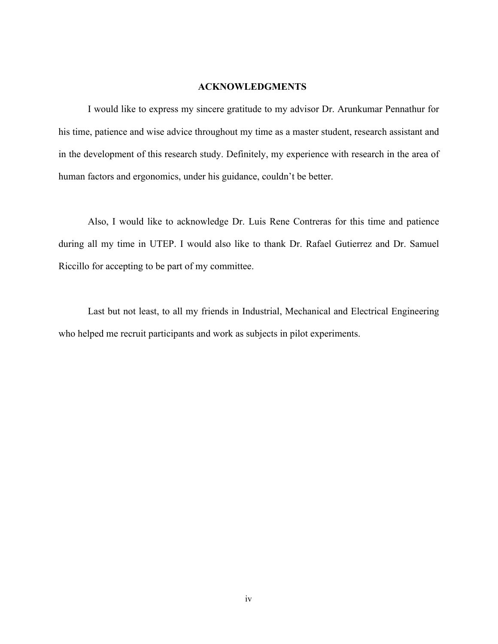#### **ACKNOWLEDGMENTS**

 I would like to express my sincere gratitude to my advisor Dr. Arunkumar Pennathur for his time, patience and wise advice throughout my time as a master student, research assistant and in the development of this research study. Definitely, my experience with research in the area of human factors and ergonomics, under his guidance, couldn't be better.

 Also, I would like to acknowledge Dr. Luis Rene Contreras for this time and patience during all my time in UTEP. I would also like to thank Dr. Rafael Gutierrez and Dr. Samuel Riccillo for accepting to be part of my committee.

 Last but not least, to all my friends in Industrial, Mechanical and Electrical Engineering who helped me recruit participants and work as subjects in pilot experiments.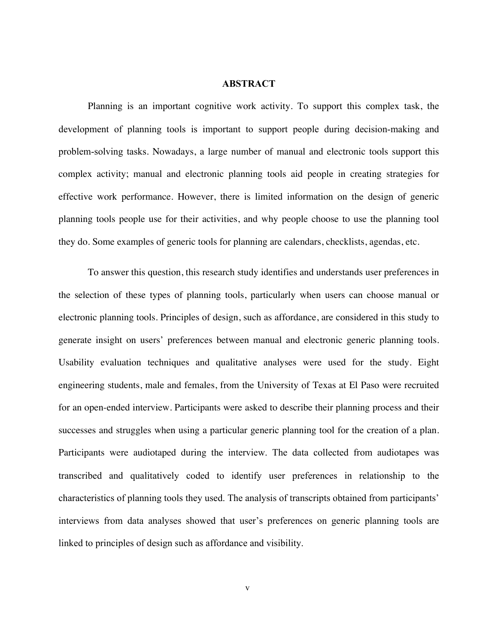#### **ABSTRACT**

 Planning is an important cognitive work activity. To support this complex task, the development of planning tools is important to support people during decision-making and problem-solving tasks. Nowadays, a large number of manual and electronic tools support this complex activity; manual and electronic planning tools aid people in creating strategies for effective work performance. However, there is limited information on the design of generic planning tools people use for their activities, and why people choose to use the planning tool they do. Some examples of generic tools for planning are calendars, checklists, agendas, etc.

 To answer this question, this research study identifies and understands user preferences in the selection of these types of planning tools, particularly when users can choose manual or electronic planning tools. Principles of design, such as affordance, are considered in this study to generate insight on users' preferences between manual and electronic generic planning tools. Usability evaluation techniques and qualitative analyses were used for the study. Eight engineering students, male and females, from the University of Texas at El Paso were recruited for an open-ended interview. Participants were asked to describe their planning process and their successes and struggles when using a particular generic planning tool for the creation of a plan. Participants were audiotaped during the interview. The data collected from audiotapes was transcribed and qualitatively coded to identify user preferences in relationship to the characteristics of planning tools they used. The analysis of transcripts obtained from participants' interviews from data analyses showed that user's preferences on generic planning tools are linked to principles of design such as affordance and visibility.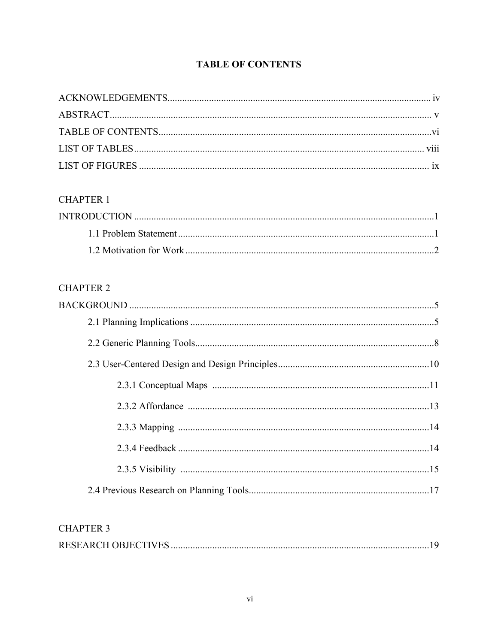### **TABLE OF CONTENTS**

### **CHAPTER 1**

### **CHAPTER 2**

### **CHAPTER 3**

|--|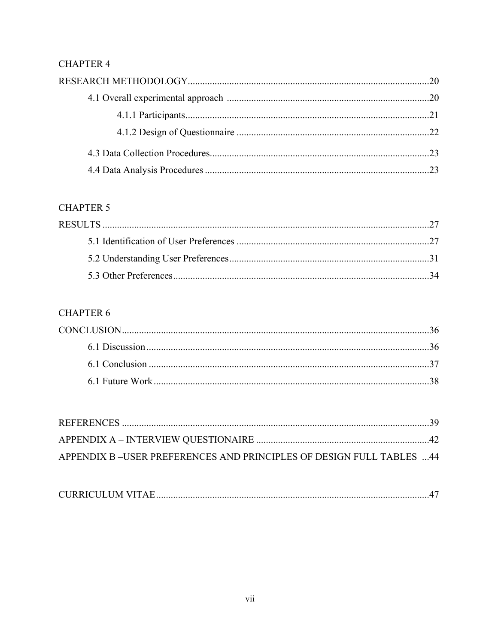### **CHAPTER 4**

### **CHAPTER 5**

### **CHAPTER 6**

| APPENDIX B-USER PREFERENCES AND PRINCIPLES OF DESIGN FULL TABLES  44 |  |
|----------------------------------------------------------------------|--|

|--|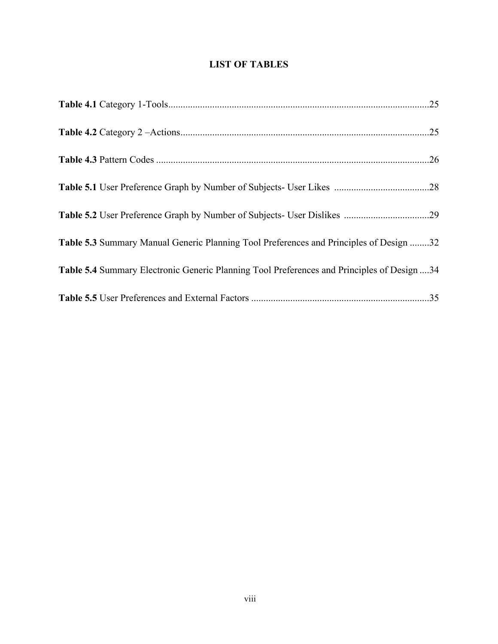### **LIST OF TABLES**

| Table 5.3 Summary Manual Generic Planning Tool Preferences and Principles of Design 32     |  |
|--------------------------------------------------------------------------------------------|--|
| Table 5.4 Summary Electronic Generic Planning Tool Preferences and Principles of Design 34 |  |
|                                                                                            |  |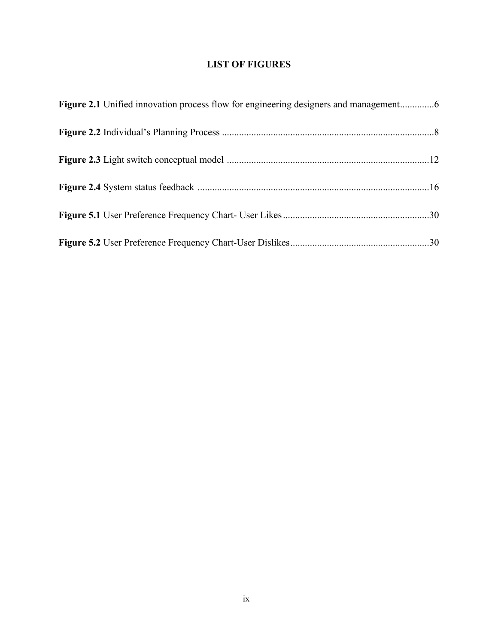### **LIST OF FIGURES**

| Figure 2.1 Unified innovation process flow for engineering designers and management |  |
|-------------------------------------------------------------------------------------|--|
|                                                                                     |  |
|                                                                                     |  |
|                                                                                     |  |
|                                                                                     |  |
|                                                                                     |  |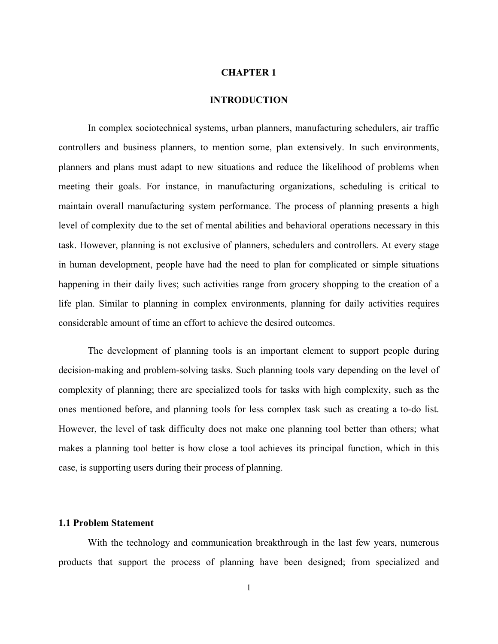#### **CHAPTER 1**

#### **INTRODUCTION**

In complex sociotechnical systems, urban planners, manufacturing schedulers, air traffic controllers and business planners, to mention some, plan extensively. In such environments, planners and plans must adapt to new situations and reduce the likelihood of problems when meeting their goals. For instance, in manufacturing organizations, scheduling is critical to maintain overall manufacturing system performance. The process of planning presents a high level of complexity due to the set of mental abilities and behavioral operations necessary in this task. However, planning is not exclusive of planners, schedulers and controllers. At every stage in human development, people have had the need to plan for complicated or simple situations happening in their daily lives; such activities range from grocery shopping to the creation of a life plan. Similar to planning in complex environments, planning for daily activities requires considerable amount of time an effort to achieve the desired outcomes.

The development of planning tools is an important element to support people during decision-making and problem-solving tasks. Such planning tools vary depending on the level of complexity of planning; there are specialized tools for tasks with high complexity, such as the ones mentioned before, and planning tools for less complex task such as creating a to-do list. However, the level of task difficulty does not make one planning tool better than others; what makes a planning tool better is how close a tool achieves its principal function, which in this case, is supporting users during their process of planning.

#### **1.1 Problem Statement**

With the technology and communication breakthrough in the last few years, numerous products that support the process of planning have been designed; from specialized and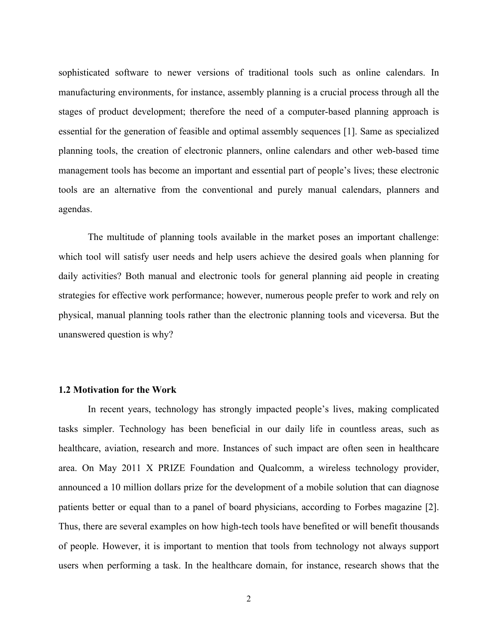sophisticated software to newer versions of traditional tools such as online calendars. In manufacturing environments, for instance, assembly planning is a crucial process through all the stages of product development; therefore the need of a computer-based planning approach is essential for the generation of feasible and optimal assembly sequences [1]. Same as specialized planning tools, the creation of electronic planners, online calendars and other web-based time management tools has become an important and essential part of people's lives; these electronic tools are an alternative from the conventional and purely manual calendars, planners and agendas.

The multitude of planning tools available in the market poses an important challenge: which tool will satisfy user needs and help users achieve the desired goals when planning for daily activities? Both manual and electronic tools for general planning aid people in creating strategies for effective work performance; however, numerous people prefer to work and rely on physical, manual planning tools rather than the electronic planning tools and viceversa. But the unanswered question is why?

#### **1.2 Motivation for the Work**

In recent years, technology has strongly impacted people's lives, making complicated tasks simpler. Technology has been beneficial in our daily life in countless areas, such as healthcare, aviation, research and more. Instances of such impact are often seen in healthcare area. On May 2011 X PRIZE Foundation and Qualcomm, a wireless technology provider, announced a 10 million dollars prize for the development of a mobile solution that can diagnose patients better or equal than to a panel of board physicians, according to Forbes magazine [2]. Thus, there are several examples on how high-tech tools have benefited or will benefit thousands of people. However, it is important to mention that tools from technology not always support users when performing a task. In the healthcare domain, for instance, research shows that the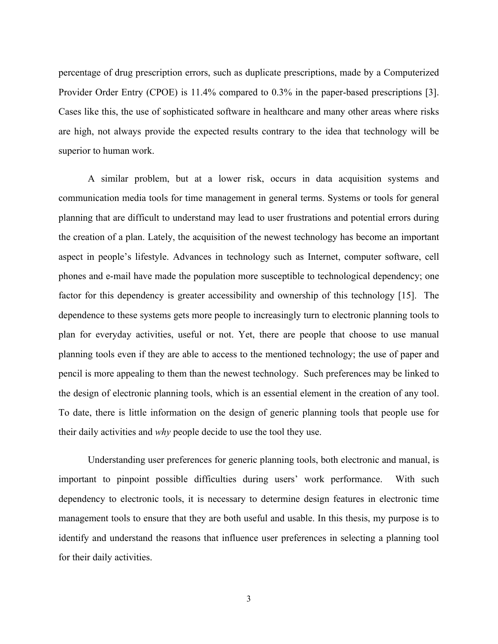percentage of drug prescription errors, such as duplicate prescriptions, made by a Computerized Provider Order Entry (CPOE) is 11.4% compared to 0.3% in the paper-based prescriptions [3]. Cases like this, the use of sophisticated software in healthcare and many other areas where risks are high, not always provide the expected results contrary to the idea that technology will be superior to human work.

A similar problem, but at a lower risk, occurs in data acquisition systems and communication media tools for time management in general terms. Systems or tools for general planning that are difficult to understand may lead to user frustrations and potential errors during the creation of a plan. Lately, the acquisition of the newest technology has become an important aspect in people's lifestyle. Advances in technology such as Internet, computer software, cell phones and e-mail have made the population more susceptible to technological dependency; one factor for this dependency is greater accessibility and ownership of this technology [15]. The dependence to these systems gets more people to increasingly turn to electronic planning tools to plan for everyday activities, useful or not. Yet, there are people that choose to use manual planning tools even if they are able to access to the mentioned technology; the use of paper and pencil is more appealing to them than the newest technology. Such preferences may be linked to the design of electronic planning tools, which is an essential element in the creation of any tool. To date, there is little information on the design of generic planning tools that people use for their daily activities and *why* people decide to use the tool they use.

Understanding user preferences for generic planning tools, both electronic and manual, is important to pinpoint possible difficulties during users' work performance. With such dependency to electronic tools, it is necessary to determine design features in electronic time management tools to ensure that they are both useful and usable. In this thesis, my purpose is to identify and understand the reasons that influence user preferences in selecting a planning tool for their daily activities.

3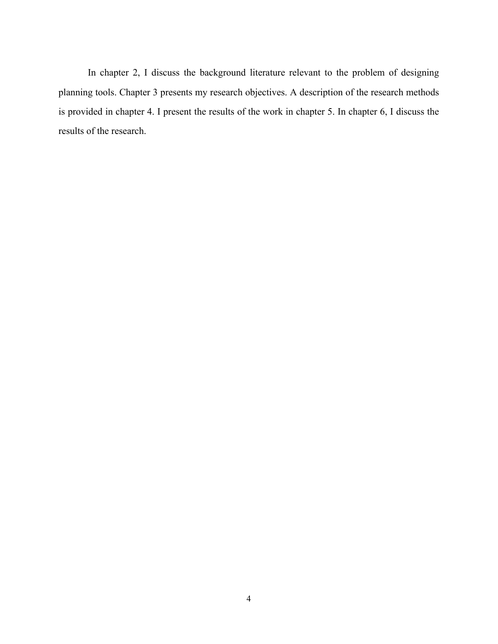In chapter 2, I discuss the background literature relevant to the problem of designing planning tools. Chapter 3 presents my research objectives. A description of the research methods is provided in chapter 4. I present the results of the work in chapter 5. In chapter 6, I discuss the results of the research.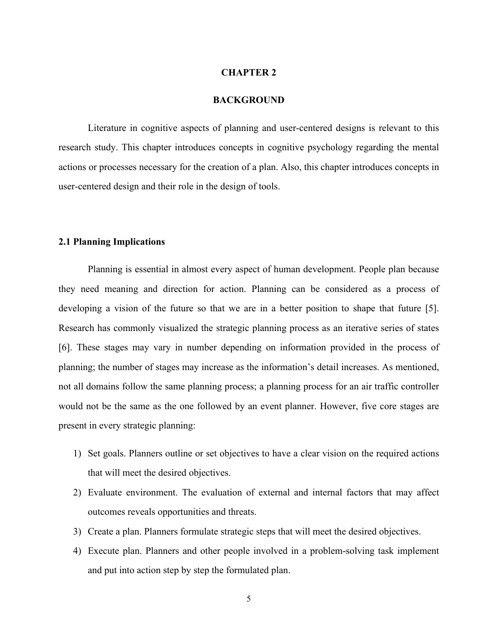#### **CHAPTER 2**

#### **BACKGROUND**

Literature in cognitive aspects of planning and user-centered designs is relevant to this research study. This chapter introduces concepts in cognitive psychology regarding the mental actions or processes necessary for the creation of a plan. Also, this chapter introduces concepts in user-centered design and their role in the design of tools.

#### **2.1 Planning Implications**

Planning is essential in almost every aspect of human development. People plan because they need meaning and direction for action. Planning can be considered as a process of developing a vision of the future so that we are in a better position to shape that future [5]. Research has commonly visualized the strategic planning process as an iterative series of states [6]. These stages may vary in number depending on information provided in the process of planning; the number of stages may increase as the information's detail increases. As mentioned, not all domains follow the same planning process; a planning process for an air traffic controller would not be the same as the one followed by an event planner. However, five core stages are present in every strategic planning:

- 1) Set goals. Planners outline or set objectives to have a clear vision on the required actions that will meet the desired objectives.
- 2) Evaluate environment. The evaluation of external and internal factors that may affect outcomes reveals opportunities and threats.
- 3) Create a plan. Planners formulate strategic steps that will meet the desired objectives.
- 4) Execute plan. Planners and other people involved in a problem-solving task implement and put into action step by step the formulated plan.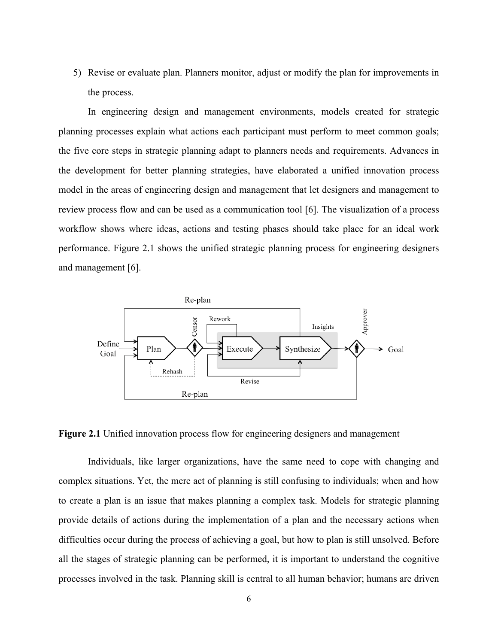5) Revise or evaluate plan. Planners monitor, adjust or modify the plan for improvements in the process.

In engineering design and management environments, models created for strategic planning processes explain what actions each participant must perform to meet common goals; the five core steps in strategic planning adapt to planners needs and requirements. Advances in the development for better planning strategies, have elaborated a unified innovation process model in the areas of engineering design and management that let designers and management to review process flow and can be used as a communication tool [6]. The visualization of a process workflow shows where ideas, actions and testing phases should take place for an ideal work performance. Figure 2.1 shows the unified strategic planning process for engineering designers and management [6].



**Figure 2.1** Unified innovation process flow for engineering designers and management

Individuals, like larger organizations, have the same need to cope with changing and complex situations. Yet, the mere act of planning is still confusing to individuals; when and how to create a plan is an issue that makes planning a complex task. Models for strategic planning provide details of actions during the implementation of a plan and the necessary actions when difficulties occur during the process of achieving a goal, but how to plan is still unsolved. Before all the stages of strategic planning can be performed, it is important to understand the cognitive processes involved in the task. Planning skill is central to all human behavior; humans are driven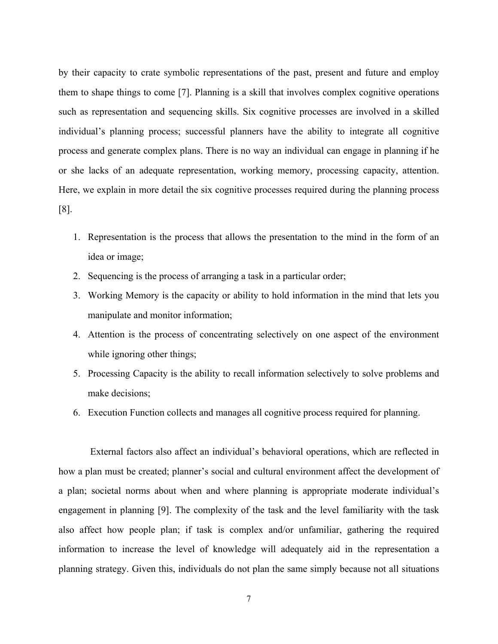by their capacity to crate symbolic representations of the past, present and future and employ them to shape things to come [7]. Planning is a skill that involves complex cognitive operations such as representation and sequencing skills. Six cognitive processes are involved in a skilled individual's planning process; successful planners have the ability to integrate all cognitive process and generate complex plans. There is no way an individual can engage in planning if he or she lacks of an adequate representation, working memory, processing capacity, attention. Here, we explain in more detail the six cognitive processes required during the planning process [8].

- 1. Representation is the process that allows the presentation to the mind in the form of an idea or image;
- 2. Sequencing is the process of arranging a task in a particular order;
- 3. Working Memory is the capacity or ability to hold information in the mind that lets you manipulate and monitor information;
- 4. Attention is the process of concentrating selectively on one aspect of the environment while ignoring other things;
- 5. Processing Capacity is the ability to recall information selectively to solve problems and make decisions;
- 6. Execution Function collects and manages all cognitive process required for planning.

External factors also affect an individual's behavioral operations, which are reflected in how a plan must be created; planner's social and cultural environment affect the development of a plan; societal norms about when and where planning is appropriate moderate individual's engagement in planning [9]. The complexity of the task and the level familiarity with the task also affect how people plan; if task is complex and/or unfamiliar, gathering the required information to increase the level of knowledge will adequately aid in the representation a planning strategy. Given this, individuals do not plan the same simply because not all situations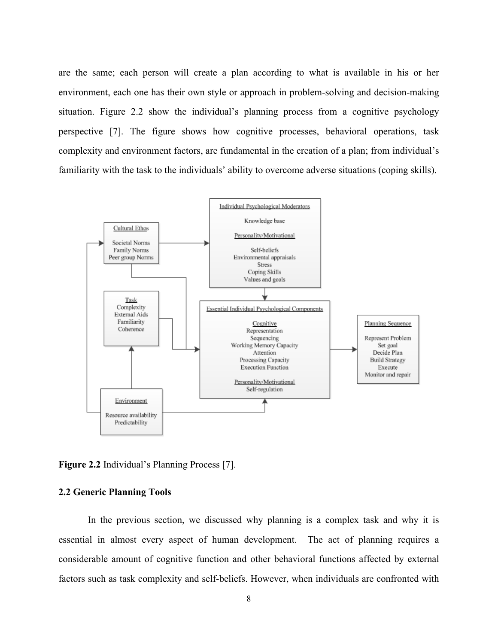are the same; each person will create a plan according to what is available in his or her environment, each one has their own style or approach in problem-solving and decision-making situation. Figure 2.2 show the individual's planning process from a cognitive psychology perspective [7]. The figure shows how cognitive processes, behavioral operations, task complexity and environment factors, are fundamental in the creation of a plan; from individual's familiarity with the task to the individuals' ability to overcome adverse situations (coping skills).



**Figure 2.2** Individual's Planning Process [7].

#### **2.2 Generic Planning Tools**

In the previous section, we discussed why planning is a complex task and why it is essential in almost every aspect of human development. The act of planning requires a considerable amount of cognitive function and other behavioral functions affected by external factors such as task complexity and self-beliefs. However, when individuals are confronted with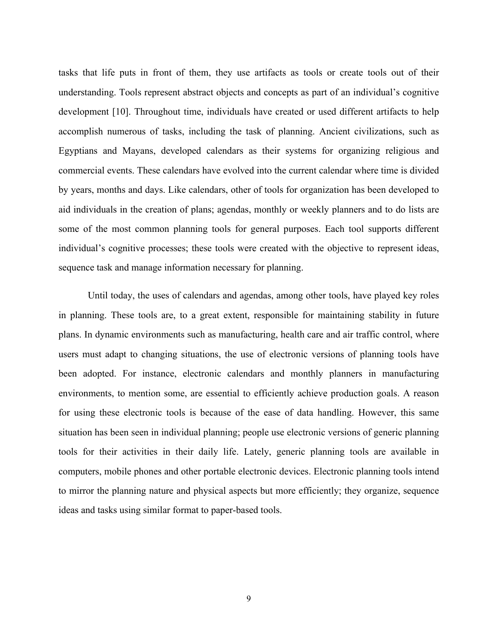tasks that life puts in front of them, they use artifacts as tools or create tools out of their understanding. Tools represent abstract objects and concepts as part of an individual's cognitive development [10]. Throughout time, individuals have created or used different artifacts to help accomplish numerous of tasks, including the task of planning. Ancient civilizations, such as Egyptians and Mayans, developed calendars as their systems for organizing religious and commercial events. These calendars have evolved into the current calendar where time is divided by years, months and days. Like calendars, other of tools for organization has been developed to aid individuals in the creation of plans; agendas, monthly or weekly planners and to do lists are some of the most common planning tools for general purposes. Each tool supports different individual's cognitive processes; these tools were created with the objective to represent ideas, sequence task and manage information necessary for planning.

Until today, the uses of calendars and agendas, among other tools, have played key roles in planning. These tools are, to a great extent, responsible for maintaining stability in future plans. In dynamic environments such as manufacturing, health care and air traffic control, where users must adapt to changing situations, the use of electronic versions of planning tools have been adopted. For instance, electronic calendars and monthly planners in manufacturing environments, to mention some, are essential to efficiently achieve production goals. A reason for using these electronic tools is because of the ease of data handling. However, this same situation has been seen in individual planning; people use electronic versions of generic planning tools for their activities in their daily life. Lately, generic planning tools are available in computers, mobile phones and other portable electronic devices. Electronic planning tools intend to mirror the planning nature and physical aspects but more efficiently; they organize, sequence ideas and tasks using similar format to paper-based tools.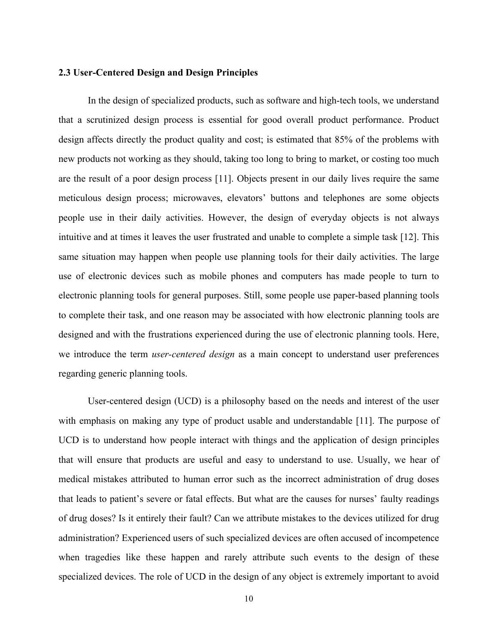#### **2.3 User-Centered Design and Design Principles**

In the design of specialized products, such as software and high-tech tools, we understand that a scrutinized design process is essential for good overall product performance. Product design affects directly the product quality and cost; is estimated that 85% of the problems with new products not working as they should, taking too long to bring to market, or costing too much are the result of a poor design process [11]. Objects present in our daily lives require the same meticulous design process; microwaves, elevators' buttons and telephones are some objects people use in their daily activities. However, the design of everyday objects is not always intuitive and at times it leaves the user frustrated and unable to complete a simple task [12]. This same situation may happen when people use planning tools for their daily activities. The large use of electronic devices such as mobile phones and computers has made people to turn to electronic planning tools for general purposes. Still, some people use paper-based planning tools to complete their task, and one reason may be associated with how electronic planning tools are designed and with the frustrations experienced during the use of electronic planning tools. Here, we introduce the term *user-centered design* as a main concept to understand user preferences regarding generic planning tools.

User-centered design (UCD) is a philosophy based on the needs and interest of the user with emphasis on making any type of product usable and understandable [11]. The purpose of UCD is to understand how people interact with things and the application of design principles that will ensure that products are useful and easy to understand to use. Usually, we hear of medical mistakes attributed to human error such as the incorrect administration of drug doses that leads to patient's severe or fatal effects. But what are the causes for nurses' faulty readings of drug doses? Is it entirely their fault? Can we attribute mistakes to the devices utilized for drug administration? Experienced users of such specialized devices are often accused of incompetence when tragedies like these happen and rarely attribute such events to the design of these specialized devices. The role of UCD in the design of any object is extremely important to avoid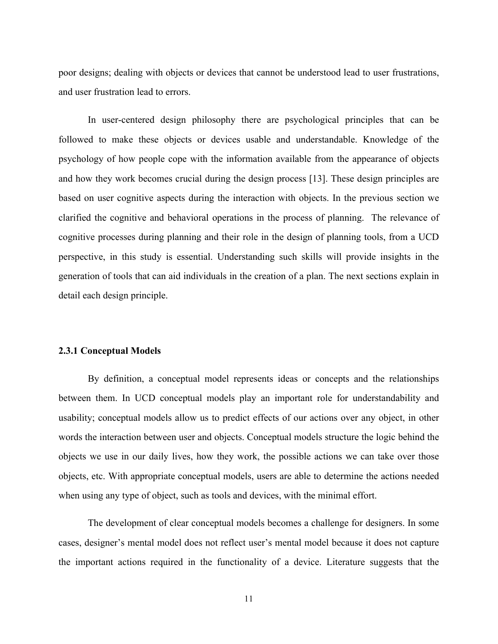poor designs; dealing with objects or devices that cannot be understood lead to user frustrations, and user frustration lead to errors.

In user-centered design philosophy there are psychological principles that can be followed to make these objects or devices usable and understandable. Knowledge of the psychology of how people cope with the information available from the appearance of objects and how they work becomes crucial during the design process [13]. These design principles are based on user cognitive aspects during the interaction with objects. In the previous section we clarified the cognitive and behavioral operations in the process of planning. The relevance of cognitive processes during planning and their role in the design of planning tools, from a UCD perspective, in this study is essential. Understanding such skills will provide insights in the generation of tools that can aid individuals in the creation of a plan. The next sections explain in detail each design principle.

#### **2.3.1 Conceptual Models**

By definition, a conceptual model represents ideas or concepts and the relationships between them. In UCD conceptual models play an important role for understandability and usability; conceptual models allow us to predict effects of our actions over any object, in other words the interaction between user and objects. Conceptual models structure the logic behind the objects we use in our daily lives, how they work, the possible actions we can take over those objects, etc. With appropriate conceptual models, users are able to determine the actions needed when using any type of object, such as tools and devices, with the minimal effort.

The development of clear conceptual models becomes a challenge for designers. In some cases, designer's mental model does not reflect user's mental model because it does not capture the important actions required in the functionality of a device. Literature suggests that the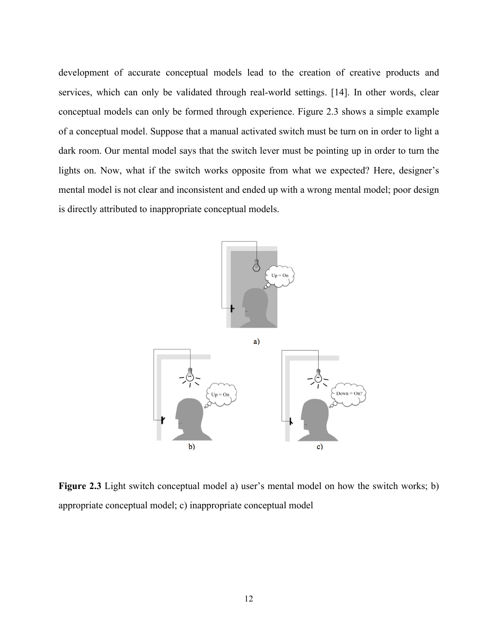development of accurate conceptual models lead to the creation of creative products and services, which can only be validated through real-world settings. [14]. In other words, clear conceptual models can only be formed through experience. Figure 2.3 shows a simple example of a conceptual model. Suppose that a manual activated switch must be turn on in order to light a dark room. Our mental model says that the switch lever must be pointing up in order to turn the lights on. Now, what if the switch works opposite from what we expected? Here, designer's mental model is not clear and inconsistent and ended up with a wrong mental model; poor design is directly attributed to inappropriate conceptual models.



**Figure 2.3** Light switch conceptual model a) user's mental model on how the switch works; b) appropriate conceptual model; c) inappropriate conceptual model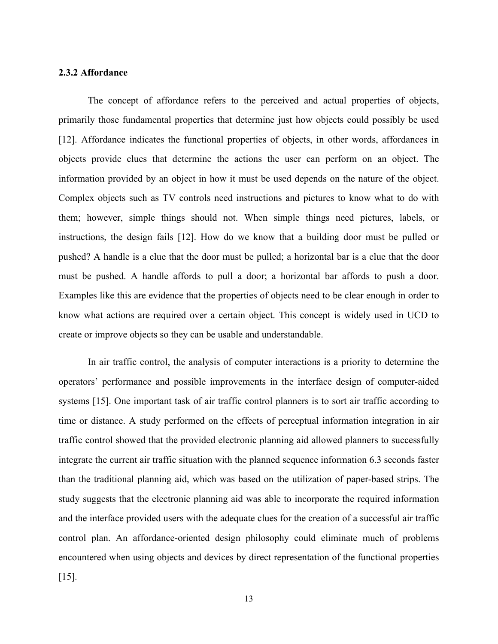#### **2.3.2 Affordance**

The concept of affordance refers to the perceived and actual properties of objects, primarily those fundamental properties that determine just how objects could possibly be used [12]. Affordance indicates the functional properties of objects, in other words, affordances in objects provide clues that determine the actions the user can perform on an object. The information provided by an object in how it must be used depends on the nature of the object. Complex objects such as TV controls need instructions and pictures to know what to do with them; however, simple things should not. When simple things need pictures, labels, or instructions, the design fails [12]. How do we know that a building door must be pulled or pushed? A handle is a clue that the door must be pulled; a horizontal bar is a clue that the door must be pushed. A handle affords to pull a door; a horizontal bar affords to push a door. Examples like this are evidence that the properties of objects need to be clear enough in order to know what actions are required over a certain object. This concept is widely used in UCD to create or improve objects so they can be usable and understandable.

In air traffic control, the analysis of computer interactions is a priority to determine the operators' performance and possible improvements in the interface design of computer-aided systems [15]. One important task of air traffic control planners is to sort air traffic according to time or distance. A study performed on the effects of perceptual information integration in air traffic control showed that the provided electronic planning aid allowed planners to successfully integrate the current air traffic situation with the planned sequence information 6.3 seconds faster than the traditional planning aid, which was based on the utilization of paper-based strips. The study suggests that the electronic planning aid was able to incorporate the required information and the interface provided users with the adequate clues for the creation of a successful air traffic control plan. An affordance-oriented design philosophy could eliminate much of problems encountered when using objects and devices by direct representation of the functional properties [15].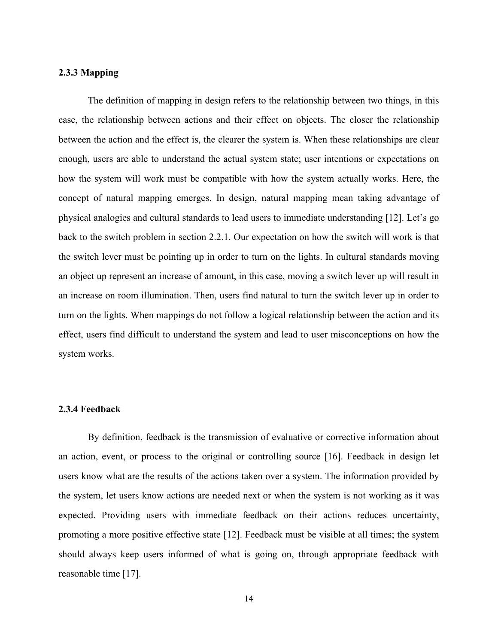#### **2.3.3 Mapping**

The definition of mapping in design refers to the relationship between two things, in this case, the relationship between actions and their effect on objects. The closer the relationship between the action and the effect is, the clearer the system is. When these relationships are clear enough, users are able to understand the actual system state; user intentions or expectations on how the system will work must be compatible with how the system actually works. Here, the concept of natural mapping emerges. In design, natural mapping mean taking advantage of physical analogies and cultural standards to lead users to immediate understanding [12]. Let's go back to the switch problem in section 2.2.1. Our expectation on how the switch will work is that the switch lever must be pointing up in order to turn on the lights. In cultural standards moving an object up represent an increase of amount, in this case, moving a switch lever up will result in an increase on room illumination. Then, users find natural to turn the switch lever up in order to turn on the lights. When mappings do not follow a logical relationship between the action and its effect, users find difficult to understand the system and lead to user misconceptions on how the system works.

#### **2.3.4 Feedback**

By definition, feedback is the transmission of evaluative or corrective information about an action, event, or process to the original or controlling source [16]. Feedback in design let users know what are the results of the actions taken over a system. The information provided by the system, let users know actions are needed next or when the system is not working as it was expected. Providing users with immediate feedback on their actions reduces uncertainty, promoting a more positive effective state [12]. Feedback must be visible at all times; the system should always keep users informed of what is going on, through appropriate feedback with reasonable time [17].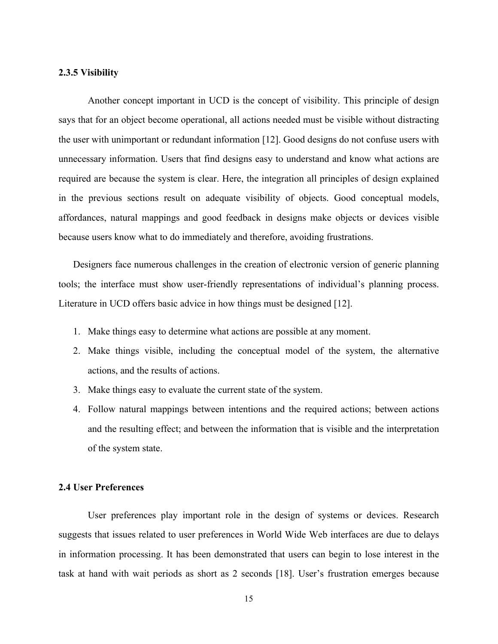#### **2.3.5 Visibility**

Another concept important in UCD is the concept of visibility. This principle of design says that for an object become operational, all actions needed must be visible without distracting the user with unimportant or redundant information [12]. Good designs do not confuse users with unnecessary information. Users that find designs easy to understand and know what actions are required are because the system is clear. Here, the integration all principles of design explained in the previous sections result on adequate visibility of objects. Good conceptual models, affordances, natural mappings and good feedback in designs make objects or devices visible because users know what to do immediately and therefore, avoiding frustrations.

Designers face numerous challenges in the creation of electronic version of generic planning tools; the interface must show user-friendly representations of individual's planning process. Literature in UCD offers basic advice in how things must be designed [12].

- 1. Make things easy to determine what actions are possible at any moment.
- 2. Make things visible, including the conceptual model of the system, the alternative actions, and the results of actions.
- 3. Make things easy to evaluate the current state of the system.
- 4. Follow natural mappings between intentions and the required actions; between actions and the resulting effect; and between the information that is visible and the interpretation of the system state.

#### **2.4 User Preferences**

User preferences play important role in the design of systems or devices. Research suggests that issues related to user preferences in World Wide Web interfaces are due to delays in information processing. It has been demonstrated that users can begin to lose interest in the task at hand with wait periods as short as 2 seconds [18]. User's frustration emerges because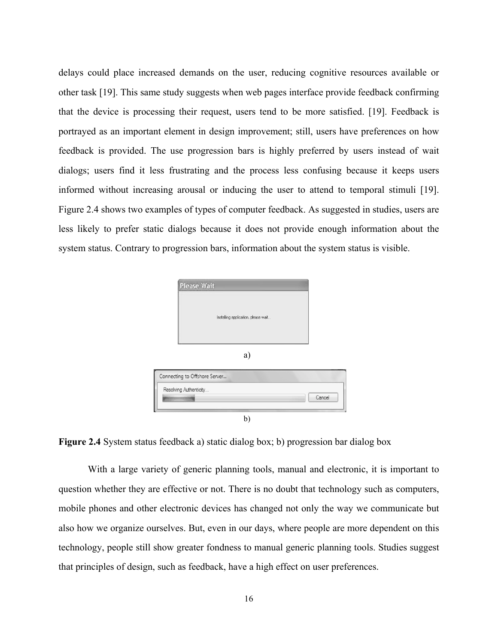delays could place increased demands on the user, reducing cognitive resources available or other task [19]. This same study suggests when web pages interface provide feedback confirming that the device is processing their request, users tend to be more satisfied. [19]. Feedback is portrayed as an important element in design improvement; still, users have preferences on how feedback is provided. The use progression bars is highly preferred by users instead of wait dialogs; users find it less frustrating and the process less confusing because it keeps users informed without increasing arousal or inducing the user to attend to temporal stimuli [19]. Figure 2.4 shows two examples of types of computer feedback. As suggested in studies, users are less likely to prefer static dialogs because it does not provide enough information about the system status. Contrary to progression bars, information about the system status is visible.

| <b>Please Wait</b>                  |        |
|-------------------------------------|--------|
| Installing application, please wait |        |
| a)                                  |        |
| Connecting to Offshore Server       |        |
| Resolving Authenticity              | Cancel |
| h.                                  |        |

**Figure 2.4** System status feedback a) static dialog box; b) progression bar dialog box

With a large variety of generic planning tools, manual and electronic, it is important to question whether they are effective or not. There is no doubt that technology such as computers, mobile phones and other electronic devices has changed not only the way we communicate but also how we organize ourselves. But, even in our days, where people are more dependent on this technology, people still show greater fondness to manual generic planning tools. Studies suggest that principles of design, such as feedback, have a high effect on user preferences.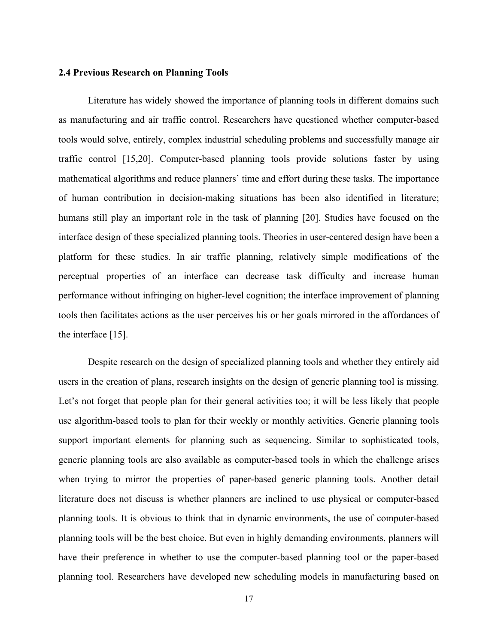#### **2.4 Previous Research on Planning Tools**

Literature has widely showed the importance of planning tools in different domains such as manufacturing and air traffic control. Researchers have questioned whether computer-based tools would solve, entirely, complex industrial scheduling problems and successfully manage air traffic control [15,20]. Computer-based planning tools provide solutions faster by using mathematical algorithms and reduce planners' time and effort during these tasks. The importance of human contribution in decision-making situations has been also identified in literature; humans still play an important role in the task of planning [20]. Studies have focused on the interface design of these specialized planning tools. Theories in user-centered design have been a platform for these studies. In air traffic planning, relatively simple modifications of the perceptual properties of an interface can decrease task difficulty and increase human performance without infringing on higher-level cognition; the interface improvement of planning tools then facilitates actions as the user perceives his or her goals mirrored in the affordances of the interface [15].

Despite research on the design of specialized planning tools and whether they entirely aid users in the creation of plans, research insights on the design of generic planning tool is missing. Let's not forget that people plan for their general activities too; it will be less likely that people use algorithm-based tools to plan for their weekly or monthly activities. Generic planning tools support important elements for planning such as sequencing. Similar to sophisticated tools, generic planning tools are also available as computer-based tools in which the challenge arises when trying to mirror the properties of paper-based generic planning tools. Another detail literature does not discuss is whether planners are inclined to use physical or computer-based planning tools. It is obvious to think that in dynamic environments, the use of computer-based planning tools will be the best choice. But even in highly demanding environments, planners will have their preference in whether to use the computer-based planning tool or the paper-based planning tool. Researchers have developed new scheduling models in manufacturing based on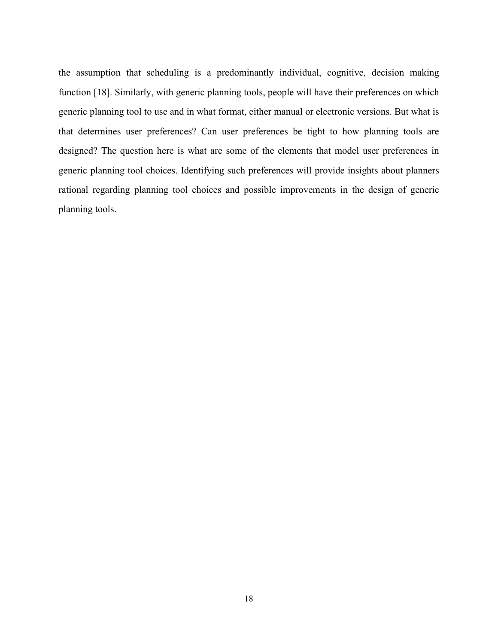the assumption that scheduling is a predominantly individual, cognitive, decision making function [18]. Similarly, with generic planning tools, people will have their preferences on which generic planning tool to use and in what format, either manual or electronic versions. But what is that determines user preferences? Can user preferences be tight to how planning tools are designed? The question here is what are some of the elements that model user preferences in generic planning tool choices. Identifying such preferences will provide insights about planners rational regarding planning tool choices and possible improvements in the design of generic planning tools.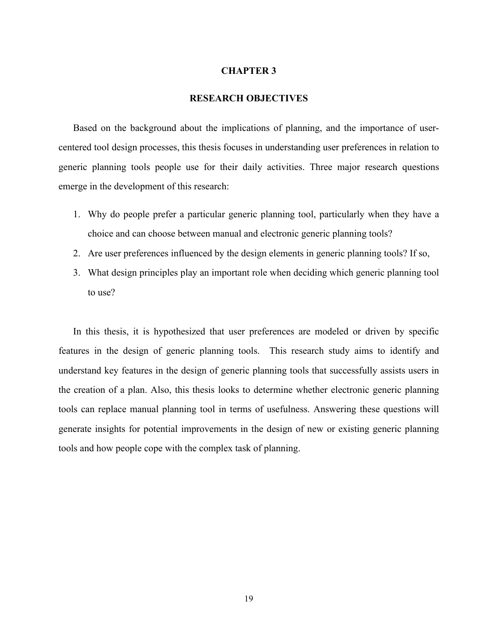#### **CHAPTER 3**

#### **RESEARCH OBJECTIVES**

Based on the background about the implications of planning, and the importance of usercentered tool design processes, this thesis focuses in understanding user preferences in relation to generic planning tools people use for their daily activities. Three major research questions emerge in the development of this research:

- 1. Why do people prefer a particular generic planning tool, particularly when they have a choice and can choose between manual and electronic generic planning tools?
- 2. Are user preferences influenced by the design elements in generic planning tools? If so,
- 3. What design principles play an important role when deciding which generic planning tool to use?

In this thesis, it is hypothesized that user preferences are modeled or driven by specific features in the design of generic planning tools. This research study aims to identify and understand key features in the design of generic planning tools that successfully assists users in the creation of a plan. Also, this thesis looks to determine whether electronic generic planning tools can replace manual planning tool in terms of usefulness. Answering these questions will generate insights for potential improvements in the design of new or existing generic planning tools and how people cope with the complex task of planning.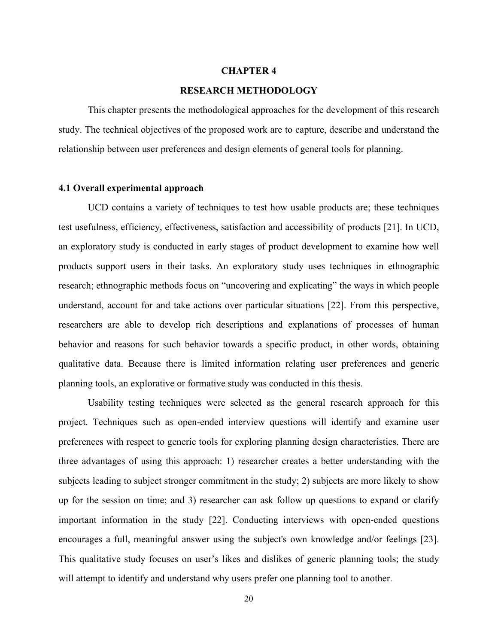#### **CHAPTER 4**

#### **RESEARCH METHODOLOGY**

This chapter presents the methodological approaches for the development of this research study. The technical objectives of the proposed work are to capture, describe and understand the relationship between user preferences and design elements of general tools for planning.

#### **4.1 Overall experimental approach**

UCD contains a variety of techniques to test how usable products are; these techniques test usefulness, efficiency, effectiveness, satisfaction and accessibility of products [21]. In UCD, an exploratory study is conducted in early stages of product development to examine how well products support users in their tasks. An exploratory study uses techniques in ethnographic research; ethnographic methods focus on "uncovering and explicating" the ways in which people understand, account for and take actions over particular situations [22]. From this perspective, researchers are able to develop rich descriptions and explanations of processes of human behavior and reasons for such behavior towards a specific product, in other words, obtaining qualitative data. Because there is limited information relating user preferences and generic planning tools, an explorative or formative study was conducted in this thesis.

Usability testing techniques were selected as the general research approach for this project. Techniques such as open-ended interview questions will identify and examine user preferences with respect to generic tools for exploring planning design characteristics. There are three advantages of using this approach: 1) researcher creates a better understanding with the subjects leading to subject stronger commitment in the study; 2) subjects are more likely to show up for the session on time; and 3) researcher can ask follow up questions to expand or clarify important information in the study [22]. Conducting interviews with open-ended questions encourages a full, meaningful answer using the subject's own knowledge and/or feelings [23]. This qualitative study focuses on user's likes and dislikes of generic planning tools; the study will attempt to identify and understand why users prefer one planning tool to another.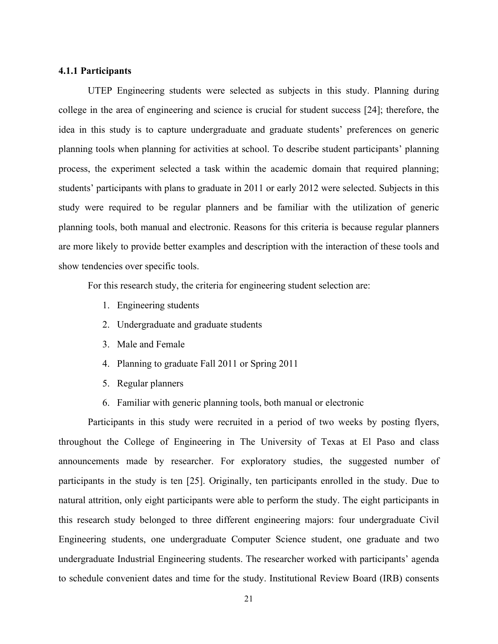#### **4.1.1 Participants**

UTEP Engineering students were selected as subjects in this study. Planning during college in the area of engineering and science is crucial for student success [24]; therefore, the idea in this study is to capture undergraduate and graduate students' preferences on generic planning tools when planning for activities at school. To describe student participants' planning process, the experiment selected a task within the academic domain that required planning; students' participants with plans to graduate in 2011 or early 2012 were selected. Subjects in this study were required to be regular planners and be familiar with the utilization of generic planning tools, both manual and electronic. Reasons for this criteria is because regular planners are more likely to provide better examples and description with the interaction of these tools and show tendencies over specific tools.

For this research study, the criteria for engineering student selection are:

- 1. Engineering students
- 2. Undergraduate and graduate students
- 3. Male and Female
- 4. Planning to graduate Fall 2011 or Spring 2011
- 5. Regular planners
- 6. Familiar with generic planning tools, both manual or electronic

Participants in this study were recruited in a period of two weeks by posting flyers, throughout the College of Engineering in The University of Texas at El Paso and class announcements made by researcher. For exploratory studies, the suggested number of participants in the study is ten [25]. Originally, ten participants enrolled in the study. Due to natural attrition, only eight participants were able to perform the study. The eight participants in this research study belonged to three different engineering majors: four undergraduate Civil Engineering students, one undergraduate Computer Science student, one graduate and two undergraduate Industrial Engineering students. The researcher worked with participants' agenda to schedule convenient dates and time for the study. Institutional Review Board (IRB) consents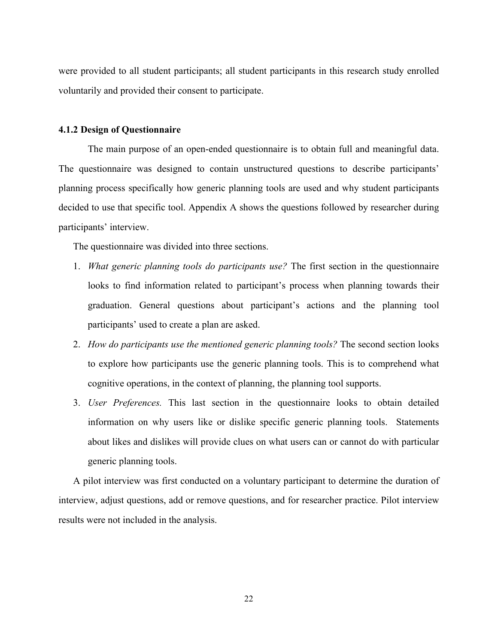were provided to all student participants; all student participants in this research study enrolled voluntarily and provided their consent to participate.

#### **4.1.2 Design of Questionnaire**

The main purpose of an open-ended questionnaire is to obtain full and meaningful data. The questionnaire was designed to contain unstructured questions to describe participants' planning process specifically how generic planning tools are used and why student participants decided to use that specific tool. Appendix A shows the questions followed by researcher during participants' interview.

The questionnaire was divided into three sections.

- 1. *What generic planning tools do participants use?* The first section in the questionnaire looks to find information related to participant's process when planning towards their graduation. General questions about participant's actions and the planning tool participants' used to create a plan are asked.
- 2. *How do participants use the mentioned generic planning tools?* The second section looks to explore how participants use the generic planning tools. This is to comprehend what cognitive operations, in the context of planning, the planning tool supports.
- 3. *User Preferences.* This last section in the questionnaire looks to obtain detailed information on why users like or dislike specific generic planning tools. Statements about likes and dislikes will provide clues on what users can or cannot do with particular generic planning tools.

A pilot interview was first conducted on a voluntary participant to determine the duration of interview, adjust questions, add or remove questions, and for researcher practice. Pilot interview results were not included in the analysis.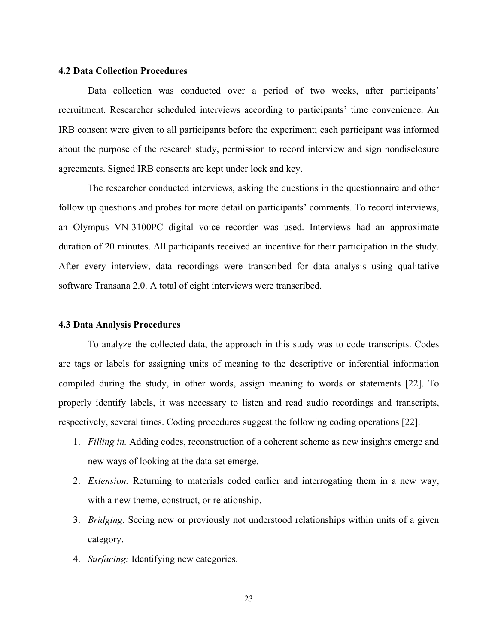#### **4.2 Data Collection Procedures**

Data collection was conducted over a period of two weeks, after participants' recruitment. Researcher scheduled interviews according to participants' time convenience. An IRB consent were given to all participants before the experiment; each participant was informed about the purpose of the research study, permission to record interview and sign nondisclosure agreements. Signed IRB consents are kept under lock and key.

The researcher conducted interviews, asking the questions in the questionnaire and other follow up questions and probes for more detail on participants' comments. To record interviews, an Olympus VN-3100PC digital voice recorder was used. Interviews had an approximate duration of 20 minutes. All participants received an incentive for their participation in the study. After every interview, data recordings were transcribed for data analysis using qualitative software Transana 2.0. A total of eight interviews were transcribed.

#### **4.3 Data Analysis Procedures**

To analyze the collected data, the approach in this study was to code transcripts. Codes are tags or labels for assigning units of meaning to the descriptive or inferential information compiled during the study, in other words, assign meaning to words or statements [22]. To properly identify labels, it was necessary to listen and read audio recordings and transcripts, respectively, several times. Coding procedures suggest the following coding operations [22].

- 1. *Filling in.* Adding codes, reconstruction of a coherent scheme as new insights emerge and new ways of looking at the data set emerge.
- 2. *Extension.* Returning to materials coded earlier and interrogating them in a new way, with a new theme, construct, or relationship.
- 3. *Bridging.* Seeing new or previously not understood relationships within units of a given category.
- 4. *Surfacing:* Identifying new categories.

23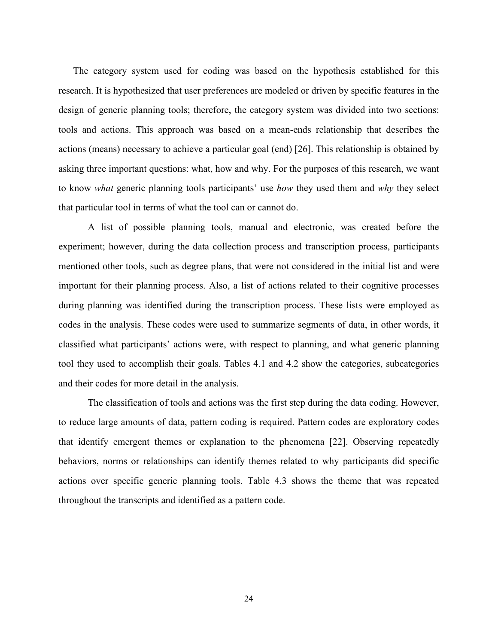The category system used for coding was based on the hypothesis established for this research. It is hypothesized that user preferences are modeled or driven by specific features in the design of generic planning tools; therefore, the category system was divided into two sections: tools and actions. This approach was based on a mean-ends relationship that describes the actions (means) necessary to achieve a particular goal (end) [26]. This relationship is obtained by asking three important questions: what, how and why. For the purposes of this research, we want to know *what* generic planning tools participants' use *how* they used them and *why* they select that particular tool in terms of what the tool can or cannot do.

A list of possible planning tools, manual and electronic, was created before the experiment; however, during the data collection process and transcription process, participants mentioned other tools, such as degree plans, that were not considered in the initial list and were important for their planning process. Also, a list of actions related to their cognitive processes during planning was identified during the transcription process. These lists were employed as codes in the analysis. These codes were used to summarize segments of data, in other words, it classified what participants' actions were, with respect to planning, and what generic planning tool they used to accomplish their goals. Tables 4.1 and 4.2 show the categories, subcategories and their codes for more detail in the analysis.

The classification of tools and actions was the first step during the data coding. However, to reduce large amounts of data, pattern coding is required. Pattern codes are exploratory codes that identify emergent themes or explanation to the phenomena [22]. Observing repeatedly behaviors, norms or relationships can identify themes related to why participants did specific actions over specific generic planning tools. Table 4.3 shows the theme that was repeated throughout the transcripts and identified as a pattern code.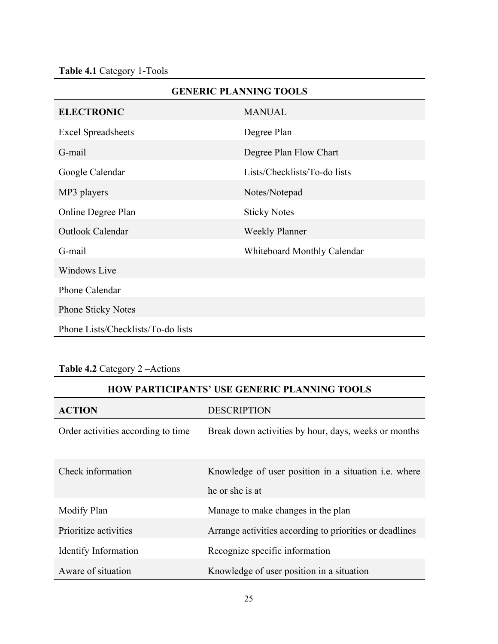|                                    | <b>GENERIC PLANNING TOOLS</b> |  |  |  |
|------------------------------------|-------------------------------|--|--|--|
| <b>ELECTRONIC</b><br><b>MANUAL</b> |                               |  |  |  |
| <b>Excel Spreadsheets</b>          | Degree Plan                   |  |  |  |
| G-mail                             | Degree Plan Flow Chart        |  |  |  |
| Google Calendar                    | Lists/Checklists/To-do lists  |  |  |  |
| MP3 players                        | Notes/Notepad                 |  |  |  |
| Online Degree Plan                 | <b>Sticky Notes</b>           |  |  |  |
| Outlook Calendar                   | <b>Weekly Planner</b>         |  |  |  |
| G-mail                             | Whiteboard Monthly Calendar   |  |  |  |
| <b>Windows Live</b>                |                               |  |  |  |
| Phone Calendar                     |                               |  |  |  |
| <b>Phone Sticky Notes</b>          |                               |  |  |  |
| Phone Lists/Checklists/To-do lists |                               |  |  |  |

### **Table 4.2** Category 2 –Actions

### **HOW PARTICIPANTS' USE GENERIC PLANNING TOOLS**

| <b>ACTION</b>                      | <b>DESCRIPTION</b>                                                             |
|------------------------------------|--------------------------------------------------------------------------------|
| Order activities according to time | Break down activities by hour, days, weeks or months                           |
| Check information                  | Knowledge of user position in a situation <i>i.e.</i> where<br>he or she is at |
| Modify Plan                        | Manage to make changes in the plan                                             |
| Prioritize activities              | Arrange activities according to priorities or deadlines                        |
| Identify Information               | Recognize specific information                                                 |
| Aware of situation                 | Knowledge of user position in a situation                                      |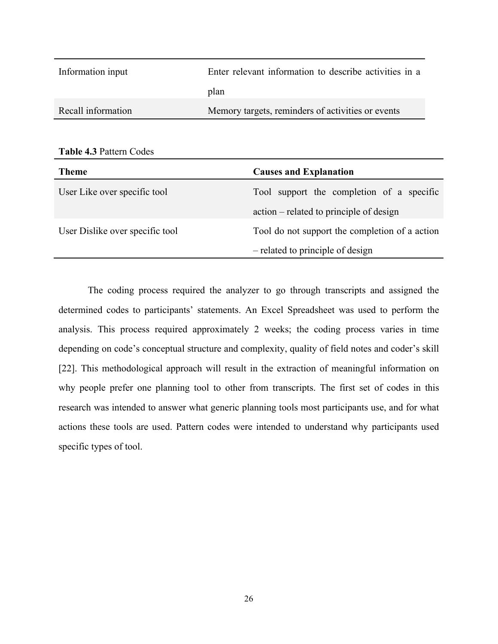| Information input  | Enter relevant information to describe activities in a |
|--------------------|--------------------------------------------------------|
|                    | plan                                                   |
| Recall information | Memory targets, reminders of activities or events      |

| <b>Table 4.3 Pattern Codes</b> |  |  |  |  |
|--------------------------------|--|--|--|--|
|--------------------------------|--|--|--|--|

| <b>Theme</b>                    | <b>Causes and Explanation</b>                  |  |
|---------------------------------|------------------------------------------------|--|
| User Like over specific tool    | Tool support the completion of a specific      |  |
|                                 | action – related to principle of design        |  |
| User Dislike over specific tool | Tool do not support the completion of a action |  |
|                                 | - related to principle of design               |  |

The coding process required the analyzer to go through transcripts and assigned the determined codes to participants' statements. An Excel Spreadsheet was used to perform the analysis. This process required approximately 2 weeks; the coding process varies in time depending on code's conceptual structure and complexity, quality of field notes and coder's skill [22]. This methodological approach will result in the extraction of meaningful information on why people prefer one planning tool to other from transcripts. The first set of codes in this research was intended to answer what generic planning tools most participants use, and for what actions these tools are used. Pattern codes were intended to understand why participants used specific types of tool.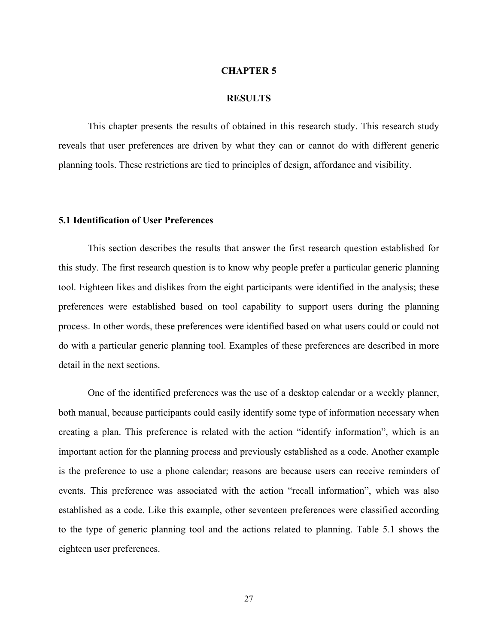#### **CHAPTER 5**

#### **RESULTS**

This chapter presents the results of obtained in this research study. This research study reveals that user preferences are driven by what they can or cannot do with different generic planning tools. These restrictions are tied to principles of design, affordance and visibility.

#### **5.1 Identification of User Preferences**

This section describes the results that answer the first research question established for this study. The first research question is to know why people prefer a particular generic planning tool. Eighteen likes and dislikes from the eight participants were identified in the analysis; these preferences were established based on tool capability to support users during the planning process. In other words, these preferences were identified based on what users could or could not do with a particular generic planning tool. Examples of these preferences are described in more detail in the next sections.

One of the identified preferences was the use of a desktop calendar or a weekly planner, both manual, because participants could easily identify some type of information necessary when creating a plan. This preference is related with the action "identify information", which is an important action for the planning process and previously established as a code. Another example is the preference to use a phone calendar; reasons are because users can receive reminders of events. This preference was associated with the action "recall information", which was also established as a code. Like this example, other seventeen preferences were classified according to the type of generic planning tool and the actions related to planning. Table 5.1 shows the eighteen user preferences.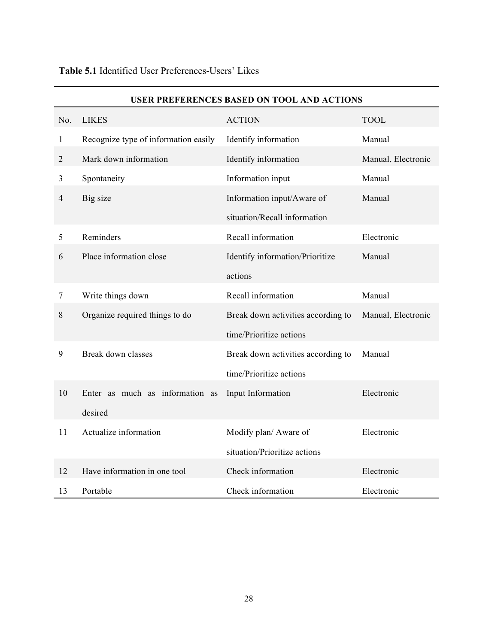|                |                                      | <b>USER PREFERENCES BASED ON TOOL AND ACTIONS</b> |                    |
|----------------|--------------------------------------|---------------------------------------------------|--------------------|
| No.            | <b>LIKES</b>                         | <b>ACTION</b>                                     | <b>TOOL</b>        |
| $\mathbf{1}$   | Recognize type of information easily | Identify information                              | Manual             |
| $\overline{2}$ | Mark down information                | Identify information                              | Manual, Electronic |
| 3              | Spontaneity                          | Information input                                 | Manual             |
| 4              | Big size                             | Information input/Aware of                        | Manual             |
|                |                                      | situation/Recall information                      |                    |
| 5              | Reminders                            | Recall information                                | Electronic         |
| 6              | Place information close              | Identify information/Prioritize                   | Manual             |
|                |                                      | actions                                           |                    |
| $\tau$         | Write things down                    | Recall information                                | Manual             |
| $8\,$          | Organize required things to do       | Break down activities according to                | Manual, Electronic |
|                |                                      | time/Prioritize actions                           |                    |
| 9              | Break down classes                   | Break down activities according to                | Manual             |
|                |                                      | time/Prioritize actions                           |                    |
| 10             | Enter as much as information as      | Input Information                                 | Electronic         |
|                | desired                              |                                                   |                    |
| 11             | Actualize information                | Modify plan/ Aware of                             | Electronic         |
|                |                                      | situation/Prioritize actions                      |                    |
| 12             | Have information in one tool         | Check information                                 | Electronic         |
| 13             | Portable                             | Check information                                 | Electronic         |

### **Table 5.1** Identified User Preferences-Users' Likes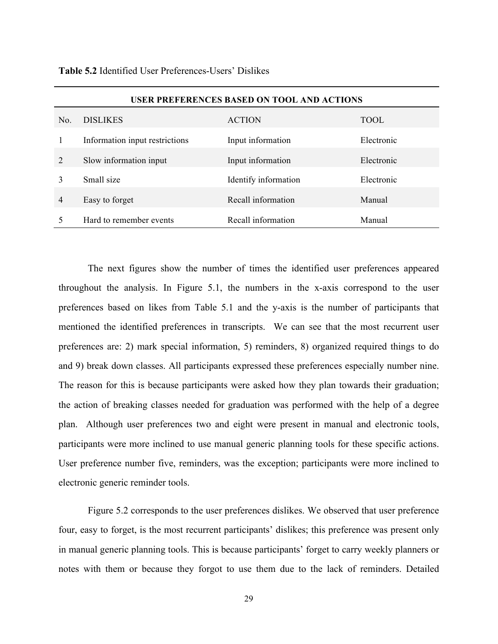| <b>USER PREFERENCES BASED ON TOOL AND ACTIONS</b> |                                |                      |            |
|---------------------------------------------------|--------------------------------|----------------------|------------|
| No.                                               | <b>DISLIKES</b>                | <b>ACTION</b>        | TOOL       |
|                                                   | Information input restrictions | Input information    | Electronic |
| 2                                                 | Slow information input         | Input information    | Electronic |
|                                                   | Small size                     | Identify information | Electronic |
| $\overline{4}$                                    | Easy to forget                 | Recall information   | Manual     |
|                                                   | Hard to remember events        | Recall information   | Manual     |

**Table 5.2** Identified User Preferences-Users' Dislikes

The next figures show the number of times the identified user preferences appeared throughout the analysis. In Figure 5.1, the numbers in the x-axis correspond to the user preferences based on likes from Table 5.1 and the y-axis is the number of participants that mentioned the identified preferences in transcripts. We can see that the most recurrent user preferences are: 2) mark special information, 5) reminders, 8) organized required things to do and 9) break down classes. All participants expressed these preferences especially number nine. The reason for this is because participants were asked how they plan towards their graduation; the action of breaking classes needed for graduation was performed with the help of a degree plan. Although user preferences two and eight were present in manual and electronic tools, participants were more inclined to use manual generic planning tools for these specific actions. User preference number five, reminders, was the exception; participants were more inclined to electronic generic reminder tools.

Figure 5.2 corresponds to the user preferences dislikes. We observed that user preference four, easy to forget, is the most recurrent participants' dislikes; this preference was present only in manual generic planning tools. This is because participants' forget to carry weekly planners or notes with them or because they forgot to use them due to the lack of reminders. Detailed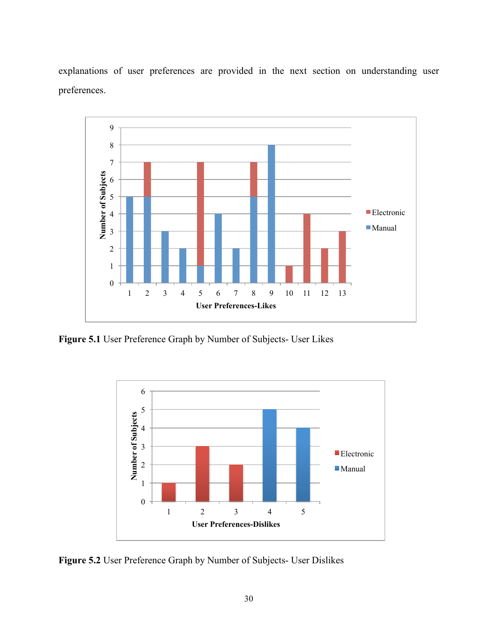explanations of user preferences are provided in the next section on understanding user preferences.



**Figure 5.1** User Preference Graph by Number of Subjects- User Likes



**Figure 5.2** User Preference Graph by Number of Subjects- User Dislikes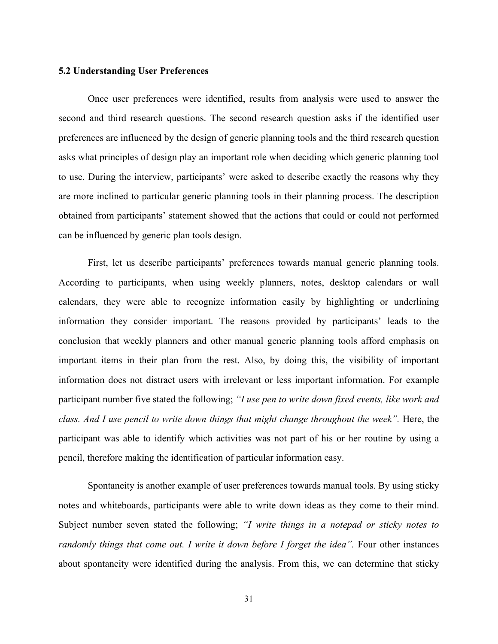#### **5.2 Understanding User Preferences**

Once user preferences were identified, results from analysis were used to answer the second and third research questions. The second research question asks if the identified user preferences are influenced by the design of generic planning tools and the third research question asks what principles of design play an important role when deciding which generic planning tool to use. During the interview, participants' were asked to describe exactly the reasons why they are more inclined to particular generic planning tools in their planning process. The description obtained from participants' statement showed that the actions that could or could not performed can be influenced by generic plan tools design.

First, let us describe participants' preferences towards manual generic planning tools. According to participants, when using weekly planners, notes, desktop calendars or wall calendars, they were able to recognize information easily by highlighting or underlining information they consider important. The reasons provided by participants' leads to the conclusion that weekly planners and other manual generic planning tools afford emphasis on important items in their plan from the rest. Also, by doing this, the visibility of important information does not distract users with irrelevant or less important information. For example participant number five stated the following; *"I use pen to write down fixed events, like work and class. And I use pencil to write down things that might change throughout the week".* Here, the participant was able to identify which activities was not part of his or her routine by using a pencil, therefore making the identification of particular information easy.

Spontaneity is another example of user preferences towards manual tools. By using sticky notes and whiteboards, participants were able to write down ideas as they come to their mind. Subject number seven stated the following; *"I write things in a notepad or sticky notes to randomly things that come out. I write it down before I forget the idea".* Four other instances about spontaneity were identified during the analysis. From this, we can determine that sticky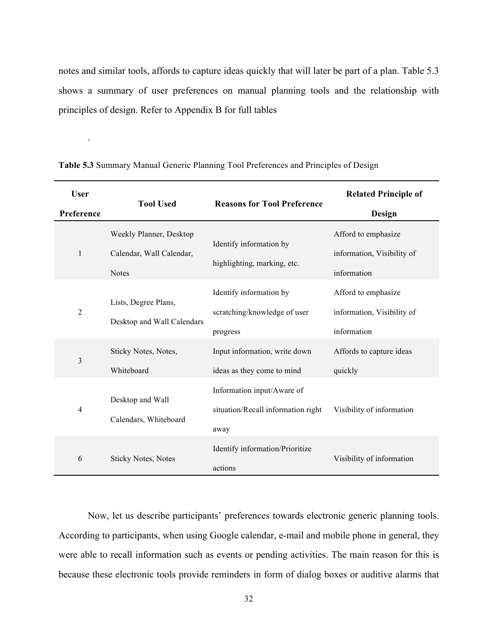notes and similar tools, affords to capture ideas quickly that will later be part of a plan. Table 5.3 shows a summary of user preferences on manual planning tools and the relationship with principles of design. Refer to Appendix B for full tables

| <b>User</b><br>Preference | <b>Tool Used</b>                                                    | <b>Reasons for Tool Preference</b>                                       | <b>Related Principle of</b><br>Design                            |
|---------------------------|---------------------------------------------------------------------|--------------------------------------------------------------------------|------------------------------------------------------------------|
| 1                         | Weekly Planner, Desktop<br>Calendar, Wall Calendar,<br><b>Notes</b> | Identify information by<br>highlighting, marking, etc.                   | Afford to emphasize<br>information, Visibility of<br>information |
| $\overline{2}$            | Lists, Degree Plans,<br>Desktop and Wall Calendars                  | Identify information by<br>scratching/knowledge of user<br>progress      | Afford to emphasize<br>information, Visibility of<br>information |
| $\overline{3}$            | Sticky Notes, Notes,<br>Whiteboard                                  | Input information, write down<br>ideas as they come to mind              | Affords to capture ideas<br>quickly                              |
| $\overline{4}$            | Desktop and Wall<br>Calendars, Whiteboard                           | Information input/Aware of<br>situation/Recall information right<br>away | Visibility of information                                        |
| 6                         | <b>Sticky Notes, Notes</b>                                          | Identify information/Prioritize<br>actions                               | Visibility of information                                        |

**Table 5.3** Summary Manual Generic Planning Tool Preferences and Principles of Design

.

Now, let us describe participants' preferences towards electronic generic planning tools. According to participants, when using Google calendar, e-mail and mobile phone in general, they were able to recall information such as events or pending activities. The main reason for this is because these electronic tools provide reminders in form of dialog boxes or auditive alarms that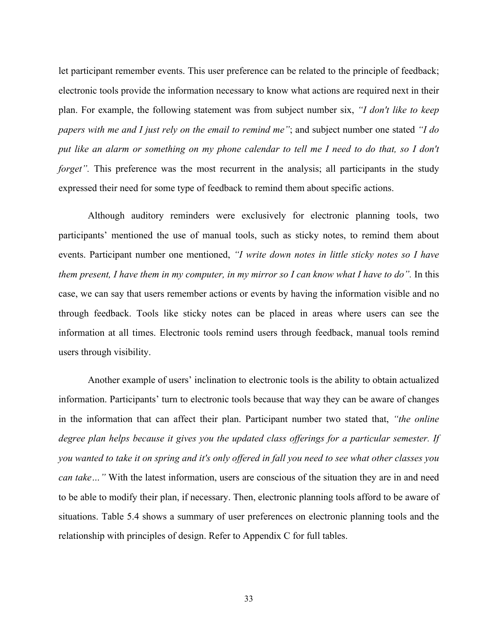let participant remember events. This user preference can be related to the principle of feedback; electronic tools provide the information necessary to know what actions are required next in their plan. For example, the following statement was from subject number six, *"I don't like to keep papers with me and I just rely on the email to remind me"*; and subject number one stated *"I do put like an alarm or something on my phone calendar to tell me I need to do that, so I don't forget*". This preference was the most recurrent in the analysis; all participants in the study expressed their need for some type of feedback to remind them about specific actions.

Although auditory reminders were exclusively for electronic planning tools, two participants' mentioned the use of manual tools, such as sticky notes, to remind them about events. Participant number one mentioned, *"I write down notes in little sticky notes so I have them present, I have them in my computer, in my mirror so I can know what I have to do".* In this case, we can say that users remember actions or events by having the information visible and no through feedback. Tools like sticky notes can be placed in areas where users can see the information at all times. Electronic tools remind users through feedback, manual tools remind users through visibility.

Another example of users' inclination to electronic tools is the ability to obtain actualized information. Participants' turn to electronic tools because that way they can be aware of changes in the information that can affect their plan. Participant number two stated that, *"the online degree plan helps because it gives you the updated class offerings for a particular semester. If you wanted to take it on spring and it's only offered in fall you need to see what other classes you can take…"* With the latest information, users are conscious of the situation they are in and need to be able to modify their plan, if necessary. Then, electronic planning tools afford to be aware of situations. Table 5.4 shows a summary of user preferences on electronic planning tools and the relationship with principles of design. Refer to Appendix C for full tables.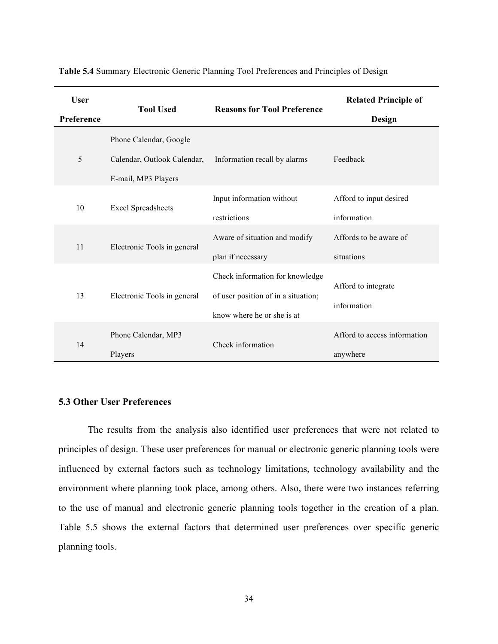| <b>User</b> | <b>Tool Used</b>            | <b>Reasons for Tool Preference</b>                                     | <b>Related Principle of</b>  |
|-------------|-----------------------------|------------------------------------------------------------------------|------------------------------|
| Preference  |                             |                                                                        | Design                       |
|             | Phone Calendar, Google      |                                                                        |                              |
| 5           | Calendar, Outlook Calendar, | Information recall by alarms                                           | Feedback                     |
|             | E-mail, MP3 Players         |                                                                        |                              |
| 10          | <b>Excel Spreadsheets</b>   | Input information without                                              | Afford to input desired      |
|             |                             | restrictions                                                           | information                  |
| 11          | Electronic Tools in general | Aware of situation and modify                                          | Affords to be aware of       |
|             |                             | plan if necessary                                                      | situations                   |
| 13          | Electronic Tools in general | Check information for knowledge<br>of user position of in a situation; | Afford to integrate          |
|             |                             | know where he or she is at                                             | information                  |
| 14          | Phone Calendar, MP3         | Check information                                                      | Afford to access information |
|             | Players                     |                                                                        | anywhere                     |

**Table 5.4** Summary Electronic Generic Planning Tool Preferences and Principles of Design

#### **5.3 Other User Preferences**

The results from the analysis also identified user preferences that were not related to principles of design. These user preferences for manual or electronic generic planning tools were influenced by external factors such as technology limitations, technology availability and the environment where planning took place, among others. Also, there were two instances referring to the use of manual and electronic generic planning tools together in the creation of a plan. Table 5.5 shows the external factors that determined user preferences over specific generic planning tools.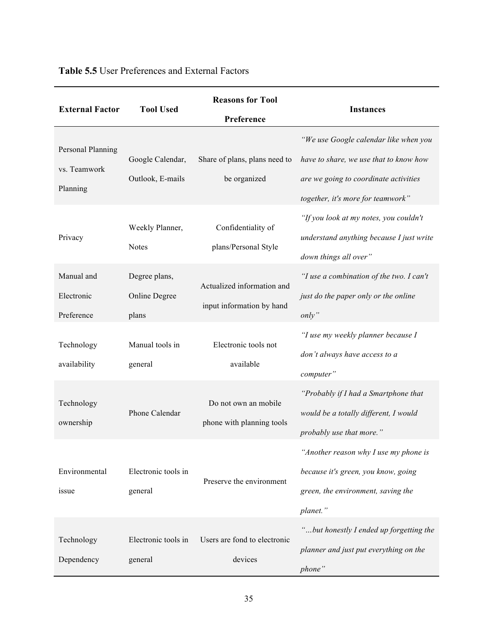| <b>External Factor</b>                        | <b>Tool Used</b>                        | <b>Reasons for Tool</b><br>Preference                   | <b>Instances</b>                                                                                                                                              |
|-----------------------------------------------|-----------------------------------------|---------------------------------------------------------|---------------------------------------------------------------------------------------------------------------------------------------------------------------|
| Personal Planning<br>vs. Teamwork<br>Planning | Google Calendar,<br>Outlook, E-mails    | Share of plans, plans need to<br>be organized           | "We use Google calendar like when you<br>have to share, we use that to know how<br>are we going to coordinate activities<br>together, it's more for teamwork" |
| Privacy                                       | Weekly Planner,<br><b>Notes</b>         | Confidentiality of<br>plans/Personal Style              | "If you look at my notes, you couldn't<br>understand anything because I just write<br>down things all over"                                                   |
| Manual and<br>Electronic<br>Preference        | Degree plans,<br>Online Degree<br>plans | Actualized information and<br>input information by hand | "I use a combination of the two. I can't<br>just do the paper only or the online<br>only"                                                                     |
| Technology<br>availability                    | Manual tools in<br>general              | Electronic tools not<br>available                       | "I use my weekly planner because I<br>don't always have access to a<br>computer"                                                                              |
| Technology<br>ownership                       | Phone Calendar                          | Do not own an mobile<br>phone with planning tools       | "Probably if I had a Smartphone that<br>would be a totally different, I would<br>probably use that more."                                                     |
| Environmental<br>issue                        | Electronic tools in<br>general          | Preserve the environment                                | "Another reason why I use my phone is<br>because it's green, you know, going<br>green, the environment, saving the<br>planet."                                |
| Technology<br>Dependency                      | Electronic tools in<br>general          | Users are fond to electronic<br>devices                 | "but honestly I ended up forgetting the<br>planner and just put everything on the<br>phone"                                                                   |

### **Table 5.5** User Preferences and External Factors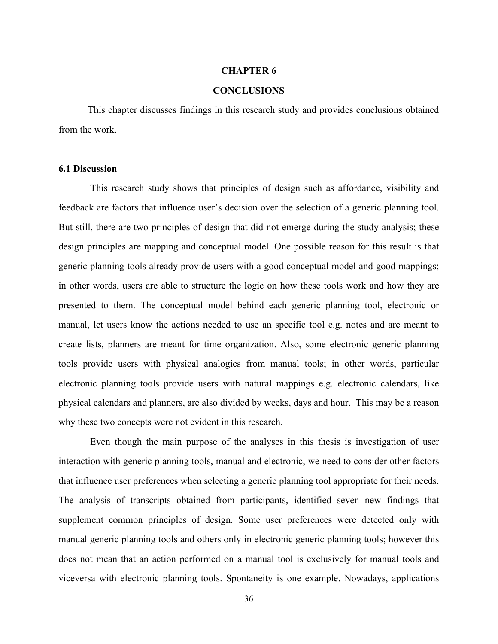#### **CHAPTER 6**

#### **CONCLUSIONS**

This chapter discusses findings in this research study and provides conclusions obtained from the work.

#### **6.1 Discussion**

This research study shows that principles of design such as affordance, visibility and feedback are factors that influence user's decision over the selection of a generic planning tool. But still, there are two principles of design that did not emerge during the study analysis; these design principles are mapping and conceptual model. One possible reason for this result is that generic planning tools already provide users with a good conceptual model and good mappings; in other words, users are able to structure the logic on how these tools work and how they are presented to them. The conceptual model behind each generic planning tool, electronic or manual, let users know the actions needed to use an specific tool e.g. notes and are meant to create lists, planners are meant for time organization. Also, some electronic generic planning tools provide users with physical analogies from manual tools; in other words, particular electronic planning tools provide users with natural mappings e.g. electronic calendars, like physical calendars and planners, are also divided by weeks, days and hour. This may be a reason why these two concepts were not evident in this research.

Even though the main purpose of the analyses in this thesis is investigation of user interaction with generic planning tools, manual and electronic, we need to consider other factors that influence user preferences when selecting a generic planning tool appropriate for their needs. The analysis of transcripts obtained from participants, identified seven new findings that supplement common principles of design. Some user preferences were detected only with manual generic planning tools and others only in electronic generic planning tools; however this does not mean that an action performed on a manual tool is exclusively for manual tools and viceversa with electronic planning tools. Spontaneity is one example. Nowadays, applications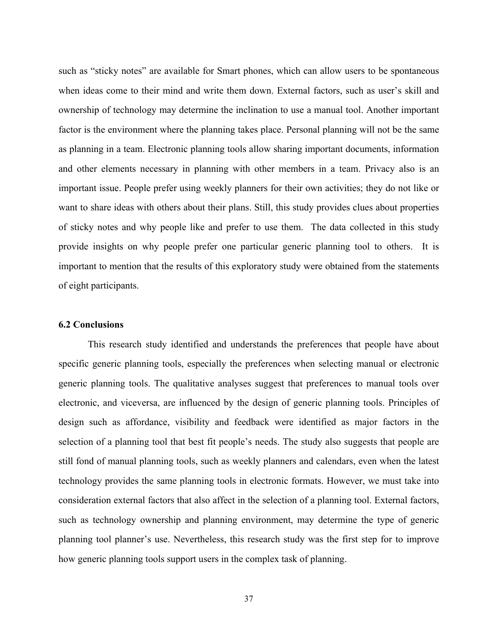such as "sticky notes" are available for Smart phones, which can allow users to be spontaneous when ideas come to their mind and write them down. External factors, such as user's skill and ownership of technology may determine the inclination to use a manual tool. Another important factor is the environment where the planning takes place. Personal planning will not be the same as planning in a team. Electronic planning tools allow sharing important documents, information and other elements necessary in planning with other members in a team. Privacy also is an important issue. People prefer using weekly planners for their own activities; they do not like or want to share ideas with others about their plans. Still, this study provides clues about properties of sticky notes and why people like and prefer to use them. The data collected in this study provide insights on why people prefer one particular generic planning tool to others. It is important to mention that the results of this exploratory study were obtained from the statements of eight participants.

#### **6.2 Conclusions**

This research study identified and understands the preferences that people have about specific generic planning tools, especially the preferences when selecting manual or electronic generic planning tools. The qualitative analyses suggest that preferences to manual tools over electronic, and viceversa, are influenced by the design of generic planning tools. Principles of design such as affordance, visibility and feedback were identified as major factors in the selection of a planning tool that best fit people's needs. The study also suggests that people are still fond of manual planning tools, such as weekly planners and calendars, even when the latest technology provides the same planning tools in electronic formats. However, we must take into consideration external factors that also affect in the selection of a planning tool. External factors, such as technology ownership and planning environment, may determine the type of generic planning tool planner's use. Nevertheless, this research study was the first step for to improve how generic planning tools support users in the complex task of planning.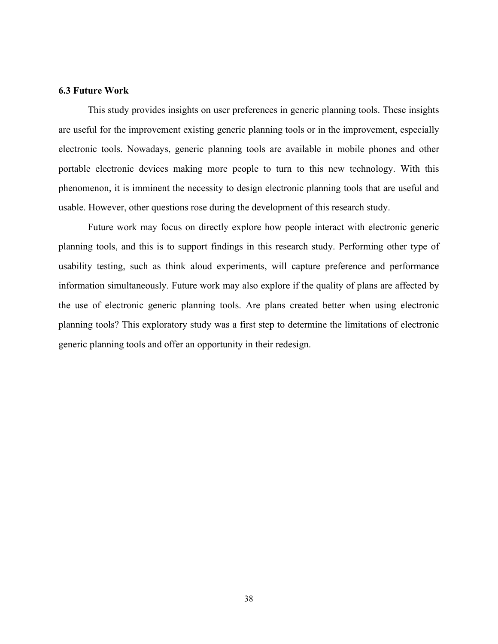#### **6.3 Future Work**

This study provides insights on user preferences in generic planning tools. These insights are useful for the improvement existing generic planning tools or in the improvement, especially electronic tools. Nowadays, generic planning tools are available in mobile phones and other portable electronic devices making more people to turn to this new technology. With this phenomenon, it is imminent the necessity to design electronic planning tools that are useful and usable. However, other questions rose during the development of this research study.

Future work may focus on directly explore how people interact with electronic generic planning tools, and this is to support findings in this research study. Performing other type of usability testing, such as think aloud experiments, will capture preference and performance information simultaneously. Future work may also explore if the quality of plans are affected by the use of electronic generic planning tools. Are plans created better when using electronic planning tools? This exploratory study was a first step to determine the limitations of electronic generic planning tools and offer an opportunity in their redesign.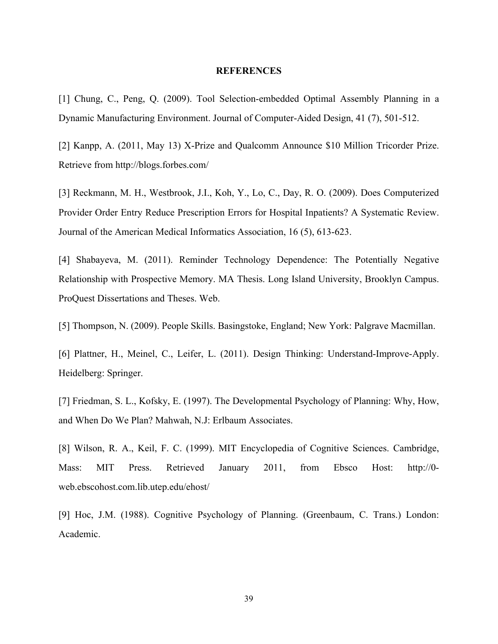#### **REFERENCES**

[1] Chung, C., Peng, Q. (2009). Tool Selection-embedded Optimal Assembly Planning in a Dynamic Manufacturing Environment. Journal of Computer-Aided Design, 41 (7), 501-512.

[2] Kanpp, A. (2011, May 13) X-Prize and Qualcomm Announce \$10 Million Tricorder Prize. Retrieve from http://blogs.forbes.com/

[3] Reckmann, M. H., Westbrook, J.I., Koh, Y., Lo, C., Day, R. O. (2009). Does Computerized Provider Order Entry Reduce Prescription Errors for Hospital Inpatients? A Systematic Review. Journal of the American Medical Informatics Association, 16 (5), 613-623.

[4] Shabayeva, M. (2011). Reminder Technology Dependence: The Potentially Negative Relationship with Prospective Memory. MA Thesis. Long Island University, Brooklyn Campus. ProQuest Dissertations and Theses. Web.

[5] Thompson, N. (2009). People Skills. Basingstoke, England; New York: Palgrave Macmillan.

[6] Plattner, H., Meinel, C., Leifer, L. (2011). Design Thinking: Understand-Improve-Apply. Heidelberg: Springer.

[7] Friedman, S. L., Kofsky, E. (1997). The Developmental Psychology of Planning: Why, How, and When Do We Plan? Mahwah, N.J: Erlbaum Associates.

[8] Wilson, R. A., Keil, F. C. (1999). MIT Encyclopedia of Cognitive Sciences. Cambridge, Mass: MIT Press. Retrieved January 2011, from Ebsco Host: http://0 web.ebscohost.com.lib.utep.edu/ehost/

[9] Hoc, J.M. (1988). Cognitive Psychology of Planning. (Greenbaum, C. Trans.) London: Academic.

39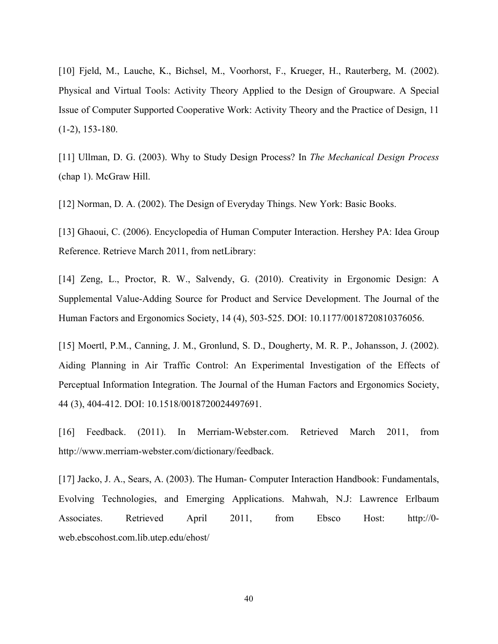[10] Fjeld, M., Lauche, K., Bichsel, M., Voorhorst, F., Krueger, H., Rauterberg, M. (2002). Physical and Virtual Tools: Activity Theory Applied to the Design of Groupware. A Special Issue of Computer Supported Cooperative Work: Activity Theory and the Practice of Design, 11 (1-2), 153-180.

[11] Ullman, D. G. (2003). Why to Study Design Process? In *The Mechanical Design Process* (chap 1). McGraw Hill.

[12] Norman, D. A. (2002). The Design of Everyday Things. New York: Basic Books.

[13] Ghaoui, C. (2006). Encyclopedia of Human Computer Interaction. Hershey PA: Idea Group Reference. Retrieve March 2011, from netLibrary:

[14] Zeng, L., Proctor, R. W., Salvendy, G. (2010). Creativity in Ergonomic Design: A Supplemental Value-Adding Source for Product and Service Development. The Journal of the Human Factors and Ergonomics Society, 14 (4), 503-525. DOI: 10.1177/0018720810376056.

[15] Moertl, P.M., Canning, J. M., Gronlund, S. D., Dougherty, M. R. P., Johansson, J. (2002). Aiding Planning in Air Traffic Control: An Experimental Investigation of the Effects of Perceptual Information Integration. The Journal of the Human Factors and Ergonomics Society, 44 (3), 404-412. DOI: 10.1518/0018720024497691.

[16] Feedback. (2011). In Merriam-Webster.com. Retrieved March 2011, from http://www.merriam-webster.com/dictionary/feedback.

[17] Jacko, J. A., Sears, A. (2003). The Human- Computer Interaction Handbook: Fundamentals, Evolving Technologies, and Emerging Applications. Mahwah, N.J: Lawrence Erlbaum Associates. Retrieved April 2011, from Ebsco Host: http://0 web.ebscohost.com.lib.utep.edu/ehost/

40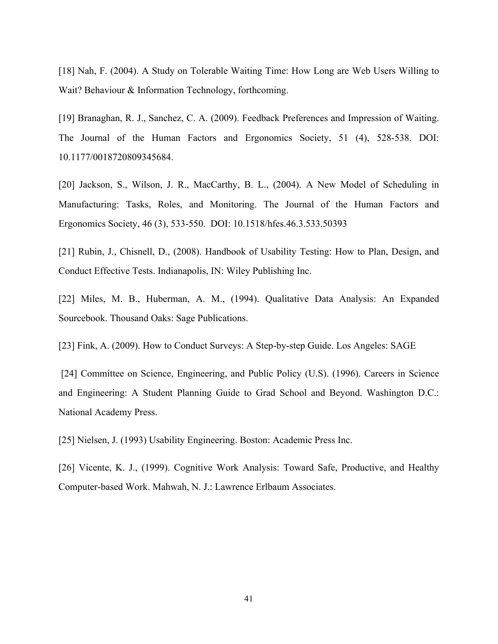[18] Nah, F. (2004). A Study on Tolerable Waiting Time: How Long are Web Users Willing to Wait? Behaviour & Information Technology, forthcoming.

[19] Branaghan, R. J., Sanchez, C. A. (2009). Feedback Preferences and Impression of Waiting. The Journal of the Human Factors and Ergonomics Society, 51 (4), 528-538. DOI: 10.1177/0018720809345684.

[20] Jackson, S., Wilson, J. R., MacCarthy, B. L., (2004). A New Model of Scheduling in Manufacturing: Tasks, Roles, and Monitoring. The Journal of the Human Factors and Ergonomics Society, 46 (3), 533-550. DOI: 10.1518/hfes.46.3.533.50393

[21] Rubin, J., Chisnell, D., (2008). Handbook of Usability Testing: How to Plan, Design, and Conduct Effective Tests. Indianapolis, IN: Wiley Publishing Inc.

[22] Miles, M. B., Huberman, A. M., (1994). Qualitative Data Analysis: An Expanded Sourcebook. Thousand Oaks: Sage Publications.

[23] Fink, A. (2009). How to Conduct Surveys: A Step-by-step Guide. Los Angeles: SAGE

[24] Committee on Science, Engineering, and Public Policy (U.S). (1996). Careers in Science and Engineering: A Student Planning Guide to Grad School and Beyond. Washington D.C.: National Academy Press.

[25] Nielsen, J. (1993) Usability Engineering. Boston: Academic Press Inc.

[26] Vicente, K. J., (1999). Cognitive Work Analysis: Toward Safe, Productive, and Healthy Computer-based Work. Mahwah, N. J.: Lawrence Erlbaum Associates.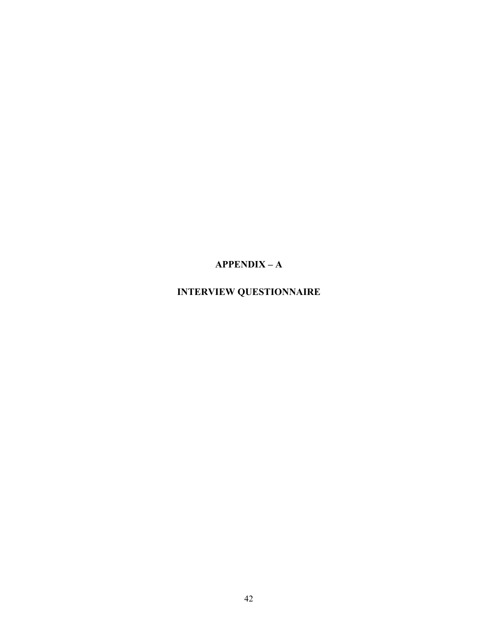### **APPENDIX – A**

### **INTERVIEW QUESTIONNAIRE**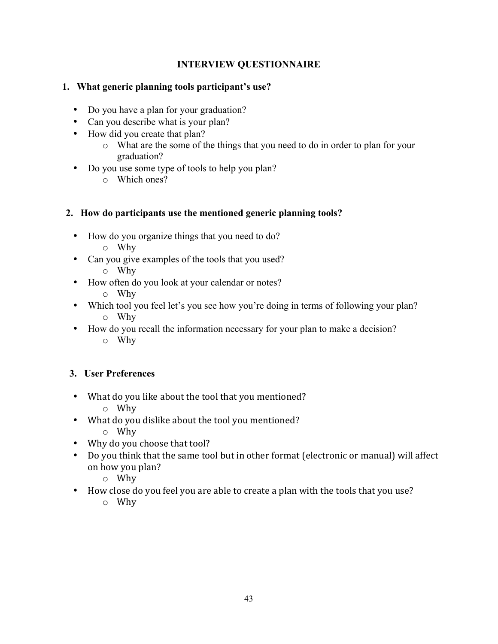### **INTERVIEW QUESTIONNAIRE**

### **1. What generic planning tools participant's use?**

- Do you have a plan for your graduation?
- Can you describe what is your plan?
- How did you create that plan?
	- o What are the some of the things that you need to do in order to plan for your graduation?
- Do you use some type of tools to help you plan?
	- o Which ones?

### **2. How do participants use the mentioned generic planning tools?**

- How do you organize things that you need to do?
	- o Why
- Can you give examples of the tools that you used?
	- o Why
- How often do you look at your calendar or notes?
	- o Why
- Which tool you feel let's you see how you're doing in terms of following your plan? o Why
- How do you recall the information necessary for your plan to make a decision? o Why

### **3. User Preferences**

- What do you like about the tool that you mentioned?
	- o Why
- What do you dislike about the tool you mentioned?
	- o Why
- Why do you choose that tool?
- Do you think that the same tool but in other format (electronic or manual) will affect on how you plan?
	- o Why
- How close do you feel you are able to create a plan with the tools that you use?
	- o Why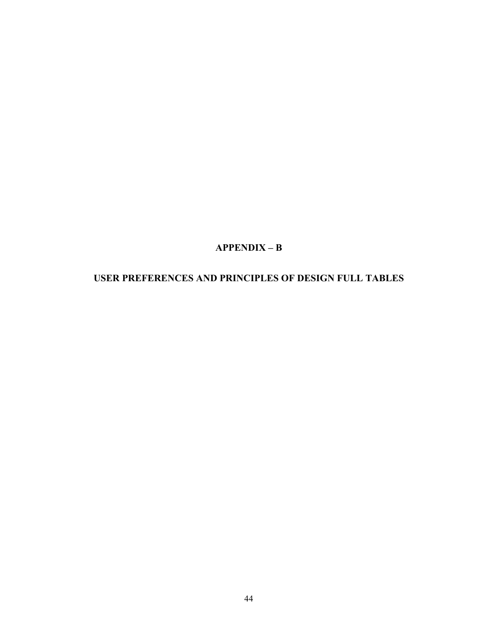### **APPENDIX – B**

### **USER PREFERENCES AND PRINCIPLES OF DESIGN FULL TABLES**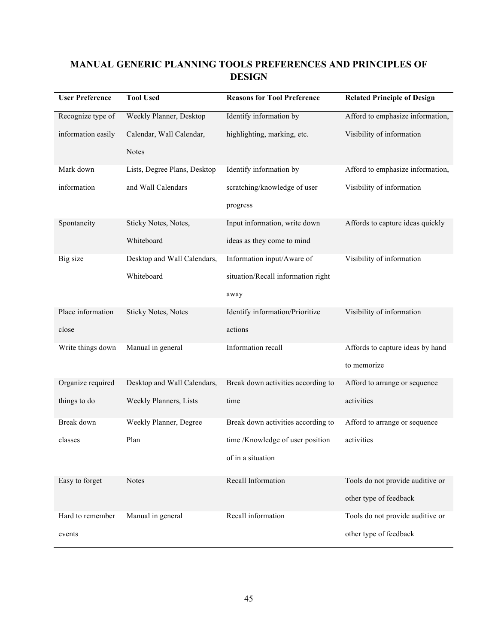### **MANUAL GENERIC PLANNING TOOLS PREFERENCES AND PRINCIPLES OF DESIGN**

| <b>User Preference</b> | <b>Tool Used</b>             | <b>Reasons for Tool Preference</b> | <b>Related Principle of Design</b> |
|------------------------|------------------------------|------------------------------------|------------------------------------|
| Recognize type of      | Weekly Planner, Desktop      | Identify information by            | Afford to emphasize information,   |
| information easily     | Calendar, Wall Calendar,     | highlighting, marking, etc.        | Visibility of information          |
|                        | <b>Notes</b>                 |                                    |                                    |
| Mark down              | Lists, Degree Plans, Desktop | Identify information by            | Afford to emphasize information,   |
| information            | and Wall Calendars           | scratching/knowledge of user       | Visibility of information          |
|                        |                              | progress                           |                                    |
| Spontaneity            | Sticky Notes, Notes,         | Input information, write down      | Affords to capture ideas quickly   |
|                        | Whiteboard                   | ideas as they come to mind         |                                    |
| Big size               | Desktop and Wall Calendars,  | Information input/Aware of         | Visibility of information          |
|                        | Whiteboard                   | situation/Recall information right |                                    |
|                        |                              | away                               |                                    |
| Place information      | <b>Sticky Notes, Notes</b>   | Identify information/Prioritize    | Visibility of information          |
| close                  |                              | actions                            |                                    |
| Write things down      | Manual in general            | Information recall                 | Affords to capture ideas by hand   |
|                        |                              |                                    | to memorize                        |
| Organize required      | Desktop and Wall Calendars,  | Break down activities according to | Afford to arrange or sequence      |
| things to do           | Weekly Planners, Lists       | time                               | activities                         |
| Break down             | Weekly Planner, Degree       | Break down activities according to | Afford to arrange or sequence      |
| classes                | Plan                         | time /Knowledge of user position   | activities                         |
|                        |                              | of in a situation                  |                                    |
| Easy to forget         | <b>Notes</b>                 | Recall Information                 | Tools do not provide auditive or   |
|                        |                              |                                    | other type of feedback             |
| Hard to remember       | Manual in general            | Recall information                 | Tools do not provide auditive or   |
| events                 |                              |                                    | other type of feedback             |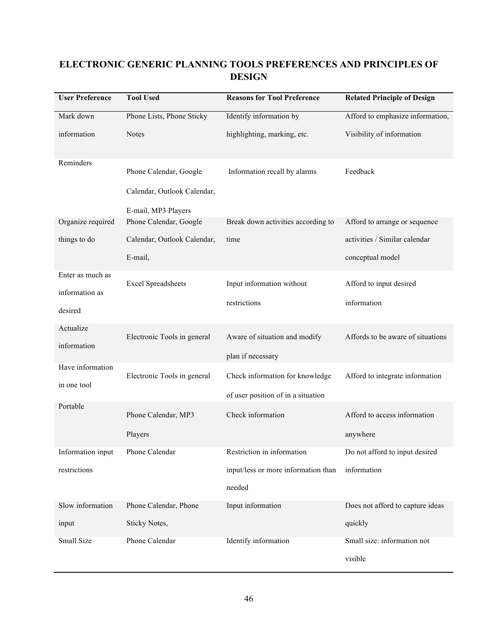### **ELECTRONIC GENERIC PLANNING TOOLS PREFERENCES AND PRINCIPLES OF DESIGN**

| <b>User Preference</b>                        | <b>Tool Used</b>                                                             | <b>Reasons for Tool Preference</b>                                          | <b>Related Principle of Design</b>                |
|-----------------------------------------------|------------------------------------------------------------------------------|-----------------------------------------------------------------------------|---------------------------------------------------|
| Mark down                                     | Phone Lists, Phone Sticky                                                    | Identify information by                                                     | Afford to emphasize information,                  |
| information                                   | <b>Notes</b>                                                                 | highlighting, marking, etc.                                                 | Visibility of information                         |
| Reminders                                     | Phone Calendar, Google<br>Calendar, Outlook Calendar,<br>E-mail, MP3 Players | Information recall by alarms                                                | Feedback                                          |
| Organize required                             | Phone Calendar, Google                                                       | Break down activities according to                                          | Afford to arrange or sequence                     |
| things to do                                  | Calendar, Outlook Calendar,<br>E-mail,                                       | time                                                                        | activities / Similar calendar<br>conceptual model |
| Enter as much as<br>information as<br>desired | <b>Excel Spreadsheets</b>                                                    | Input information without<br>restrictions                                   | Afford to input desired<br>information            |
| Actualize<br>information                      | Electronic Tools in general                                                  | Aware of situation and modify<br>plan if necessary                          | Affords to be aware of situations                 |
| Have information<br>in one tool               | Electronic Tools in general                                                  | Check information for knowledge<br>of user position of in a situation       | Afford to integrate information                   |
| Portable                                      | Phone Calendar, MP3<br>Players                                               | Check information                                                           | Afford to access information<br>anywhere          |
| Information input<br>restrictions             | Phone Calendar                                                               | Restriction in information<br>input/less or more information than<br>needed | Do not afford to input desired<br>information     |
| Slow information<br>input                     | Phone Calendar, Phone<br>Sticky Notes,                                       | Input information                                                           | Does not afford to capture ideas<br>quickly       |
| Small Size                                    | Phone Calendar                                                               | Identify information                                                        | Small size: information not<br>visible            |